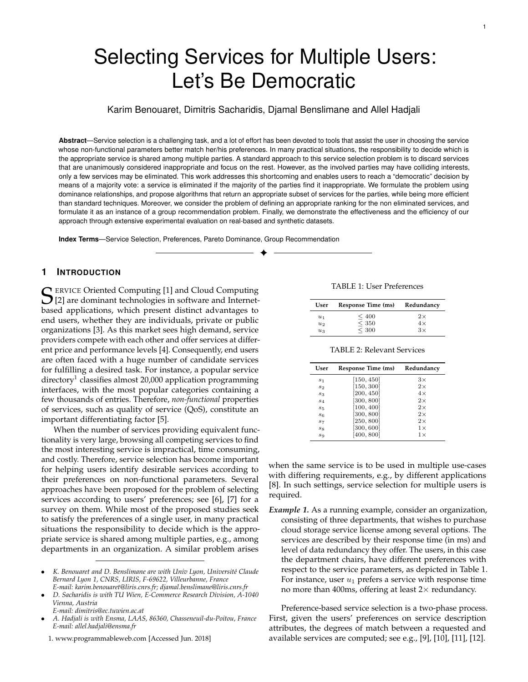# Selecting Services for Multiple Users: Let's Be Democratic

Karim Benouaret, Dimitris Sacharidis, Djamal Benslimane and Allel Hadjali

**Abstract**—Service selection is a challenging task, and a lot of effort has been devoted to tools that assist the user in choosing the service whose non-functional parameters better match her/his preferences. In many practical situations, the responsibility to decide which is the appropriate service is shared among multiple parties. A standard approach to this service selection problem is to discard services that are unanimously considered inappropriate and focus on the rest. However, as the involved parties may have colliding interests, only a few services may be eliminated. This work addresses this shortcoming and enables users to reach a "democratic" decision by means of a majority vote: a service is eliminated if the majority of the parties find it inappropriate. We formulate the problem using dominance relationships, and propose algorithms that return an appropriate subset of services for the parties, while being more efficient than standard techniques. Moreover, we consider the problem of defining an appropriate ranking for the non eliminated services, and formulate it as an instance of a group recommendation problem. Finally, we demonstrate the effectiveness and the efficiency of our approach through extensive experimental evaluation on real-based and synthetic datasets.

<span id="page-0-1"></span>✦

**Index Terms**—Service Selection, Preferences, Pareto Dominance, Group Recommendation

# **1 INTRODUCTION**

SERVICE Oriented Computing [1] and Cloud Computing<br>[\[2\]](#page-12-1) are dominant technologies in software and Internet-<br>based applications, which present distinct advantages to ERVICE Oriented Computing [\[1\]](#page-12-0) and Cloud Computing based applications, which present distinct advantages to end users, whether they are individuals, private or public organizations [\[3\]](#page-12-2). As this market sees high demand, service providers compete with each other and offer services at different price and performance levels [\[4\]](#page-12-3). Consequently, end users are often faced with a huge number of candidate services for fulfilling a desired task. For instance, a popular service directory $^1$  $^1$  classifies almost 20,000 application programming interfaces, with the most popular categories containing a few thousands of entries. Therefore, *non-functional* properties of services, such as quality of service (QoS), constitute an important differentiating factor [\[5\]](#page-12-4).

When the number of services providing equivalent functionality is very large, browsing all competing services to find the most interesting service is impractical, time consuming, and costly. Therefore, service selection has become important for helping users identify desirable services according to their preferences on non-functional parameters. Several approaches have been proposed for the problem of selecting services according to users' preferences; see [\[6\]](#page-12-5), [\[7\]](#page-12-6) for a survey on them. While most of the proposed studies seek to satisfy the preferences of a single user, in many practical situations the responsibility to decide which is the appropriate service is shared among multiple parties, e.g., among departments in an organization. A similar problem arises

• *K. Benouaret and D. Benslimane are with Univ Lyon, Universit´e Claude Bernard Lyon 1, CNRS, LIRIS, F-69622, Villeurbanne, France*

- *E-mail: dimitris@ec.tuwien.ac.at* • *A. Hadjali is with Ensma, LAAS, 86360, Chasseneuil-du-Poitou, France*
- *E-mail: allel.hadjali@ensma.fr*
- <span id="page-0-0"></span>1. www.programmableweb.com [Accessed Jun. 2018]

TABLE 1: User Preferences

| User  | Response Time (ms) | Redundancy |
|-------|--------------------|------------|
| $u_1$ | $\leq 400$         | $2\times$  |
| $u_2$ | $<350\,$           | $4\times$  |
| $u_3$ | < 300              | $3\times$  |

TABLE 2: Relevant Services

<span id="page-0-2"></span>

| User           | Response Time (ms)     | Redundancy |
|----------------|------------------------|------------|
| s <sub>1</sub> | [150, 450]             | $3\times$  |
| $s_{2}$        | [150, 300]             | $2\times$  |
| $s_3$          | [200, 450]             | $4\times$  |
| $s_4$          | [300, 800]             | $2\times$  |
| $s_5$          | [100, 400]             | $2\times$  |
| $s_6$          | [300, 800]             | $2\times$  |
| $s_7$          | [250, 800]             | $2\times$  |
| $s_{8}$        | $\left[300,600\right]$ | $1\times$  |
| $s_9$          | [400, 800]             | $1\times$  |

when the same service is to be used in multiple use-cases with differing requirements, e.g., by different applications [\[8\]](#page-12-7). In such settings, service selection for multiple users is required.

*Example 1.* As a running example, consider an organization, consisting of three departments, that wishes to purchase cloud storage service license among several options. The services are described by their response time (in ms) and level of data redundancy they offer. The users, in this case the department chairs, have different preferences with respect to the service parameters, as depicted in Table [1.](#page-0-1) For instance, user  $u_1$  prefers a service with response time no more than 400ms, offering at least  $2\times$  redundancy.

Preference-based service selection is a two-phase process. First, given the users' preferences on service description attributes, the degrees of match between a requested and available services are computed; see e.g., [\[9\]](#page-12-8), [\[10\]](#page-13-0), [\[11\]](#page-13-1), [\[12\]](#page-13-2).

*E-mail: karim.benouaret@liris.cnrs.fr; djamal.benslimane@liris.cnrs.fr* • *D. Sacharidis is with TU Wien, E-Commerce Research Division, A-1040 Vienna, Austria*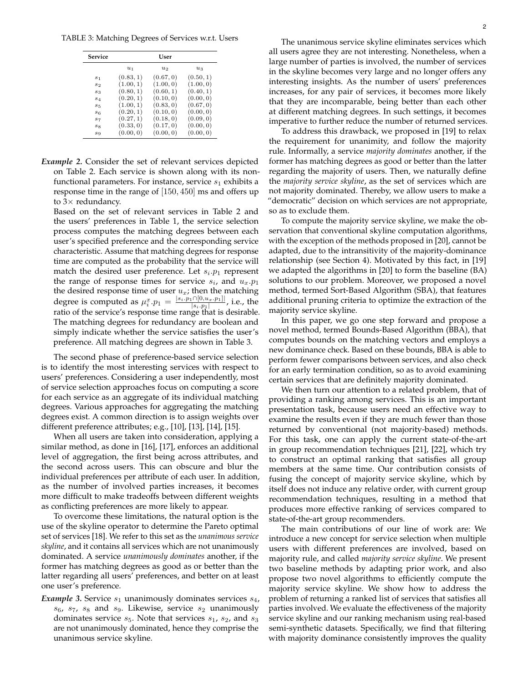<span id="page-1-0"></span>TABLE 3: Matching Degrees of Services w.r.t. Users

| Service        | User      |                |           |
|----------------|-----------|----------------|-----------|
|                | $u_1$     | u <sub>2</sub> | $u_3$     |
| $s_1$          | (0.83, 1) | (0.67, 0)      | (0.50, 1) |
| $s_2$          | (1.00, 1) | (1.00, 0)      | (1.00, 0) |
| $s_3$          | (0.80, 1) | (0.60, 1)      | (0.40, 1) |
| $s_4$          | (0.20, 1) | (0.10, 0)      | (0.00, 0) |
| $s_5$          | (1.00, 1) | (0.83, 0)      | (0.67, 0) |
| s <sub>6</sub> | (0.20, 1) | (0.10, 0)      | (0.00, 0) |
| $s_7$          | (0.27, 1) | (0.18, 0)      | (0.09, 0) |
| $s_8$          | (0.33, 0) | (0.17, 0)      | (0.00, 0) |
| s <sub>9</sub> | (0.00, 0) | (0.00, 0)      | (0.00, 0) |

*Example 2.* Consider the set of relevant services depicted on Table [2.](#page-0-2) Each service is shown along with its nonfunctional parameters. For instance, service  $s_1$  exhibits a response time in the range of [150, 450] ms and offers up to  $3\times$  redundancy.

Based on the set of relevant services in Table [2](#page-0-2) and the users' preferences in Table [1,](#page-0-1) the service selection process computes the matching degrees between each user's specified preference and the corresponding service characteristic. Assume that matching degrees for response time are computed as the probability that the service will match the desired user preference. Let  $s_i.p_1$  represent the range of response times for service  $s_i$ , and  $u_x \cdot p_1$ the desired response time of user  $u_x$ ; then the matching degree is computed as  $\mu_i^x \cdot p_1 = \frac{|s_i \cdot p_1 \cap [0, u_x \cdot p_1]|}{|s_i \cdot p_1|}$  $\frac{||\mathbf{u}, u_x \cdot p_1||}{||s_i \cdot p_1||}$ , i.e., the ratio of the service's response time range that is desirable. The matching degrees for redundancy are boolean and simply indicate whether the service satisfies the user's preference. All matching degrees are shown in Table [3.](#page-1-0)

The second phase of preference-based service selection is to identify the most interesting services with respect to users' preferences. Considering a user independently, most of service selection approaches focus on computing a score for each service as an aggregate of its individual matching degrees. Various approaches for aggregating the matching degrees exist. A common direction is to assign weights over different preference attributes; e.g., [\[10\]](#page-13-0), [\[13\]](#page-13-3), [\[14\]](#page-13-4), [\[15\]](#page-13-5).

When all users are taken into consideration, applying a similar method, as done in [\[16\]](#page-13-6), [\[17\]](#page-13-7), enforces an additional level of aggregation, the first being across attributes, and the second across users. This can obscure and blur the individual preferences per attribute of each user. In addition, as the number of involved parties increases, it becomes more difficult to make tradeoffs between different weights as conflicting preferences are more likely to appear.

To overcome these limitations, the natural option is the use of the skyline operator to determine the Pareto optimal set of services [\[18\]](#page-13-8). We refer to this set as the *unanimous service skyline*, and it contains all services which are not unanimously dominated. A service *unanimously dominates* another, if the former has matching degrees as good as or better than the latter regarding all users' preferences, and better on at least one user's preference.

<span id="page-1-1"></span>*Example 3.* Service  $s_1$  unanimously dominates services  $s_4$ ,  $s_6$ ,  $s_7$ ,  $s_8$  and  $s_9$ . Likewise, service  $s_2$  unanimously dominates service  $s_5$ . Note that services  $s_1$ ,  $s_2$ , and  $s_3$ are not unanimously dominated, hence they comprise the unanimous service skyline.

The unanimous service skyline eliminates services which all users agree they are not interesting. Nonetheless, when a large number of parties is involved, the number of services in the skyline becomes very large and no longer offers any interesting insights. As the number of users' preferences increases, for any pair of services, it becomes more likely that they are incomparable, being better than each other at different matching degrees. In such settings, it becomes imperative to further reduce the number of returned services.

To address this drawback, we proposed in [\[19\]](#page-13-9) to relax the requirement for unanimity, and follow the majority rule. Informally, a service *majority dominates* another, if the former has matching degrees as good or better than the latter regarding the majority of users. Then, we naturally define the *majority service skyline*, as the set of services which are not majority dominated. Thereby, we allow users to make a "democratic" decision on which services are not appropriate, so as to exclude them.

To compute the majority service skyline, we make the observation that conventional skyline computation algorithms, with the exception of the methods proposed in [\[20\]](#page-13-10), cannot be adapted, due to the intransitivity of the majority-dominance relationship (see Section [4\)](#page-4-0). Motivated by this fact, in [\[19\]](#page-13-9) we adapted the algorithms in [\[20\]](#page-13-10) to form the baseline (BA) solutions to our problem. Moreover, we proposed a novel method, termed Sort-Based Algorithm (SBA), that features additional pruning criteria to optimize the extraction of the majority service skyline.

In this paper, we go one step forward and propose a novel method, termed Bounds-Based Algorithm (BBA), that computes bounds on the matching vectors and employs a new dominance check. Based on these bounds, BBA is able to perform fewer comparisons between services, and also check for an early termination condition, so as to avoid examining certain services that are definitely majority dominated.

We then turn our attention to a related problem, that of providing a ranking among services. This is an important presentation task, because users need an effective way to examine the results even if they are much fewer than those returned by conventional (not majority-based) methods. For this task, one can apply the current state-of-the-art in group recommendation techniques [\[21\]](#page-13-11), [\[22\]](#page-13-12), which try to construct an optimal ranking that satisfies all group members at the same time. Our contribution consists of fusing the concept of majority service skyline, which by itself does not induce any relative order, with current group recommendation techniques, resulting in a method that produces more effective ranking of services compared to state-of-the-art group recommenders.

The main contributions of our line of work are: We introduce a new concept for service selection when multiple users with different preferences are involved, based on majority rule, and called *majority service skyline*. We present two baseline methods by adapting prior work, and also propose two novel algorithms to efficiently compute the majority service skyline. We show how to address the problem of returning a ranked list of services that satisfies all parties involved. We evaluate the effectiveness of the majority service skyline and our ranking mechanism using real-based semi-synthetic datasets. Specifically, we find that filtering with majority dominance consistently improves the quality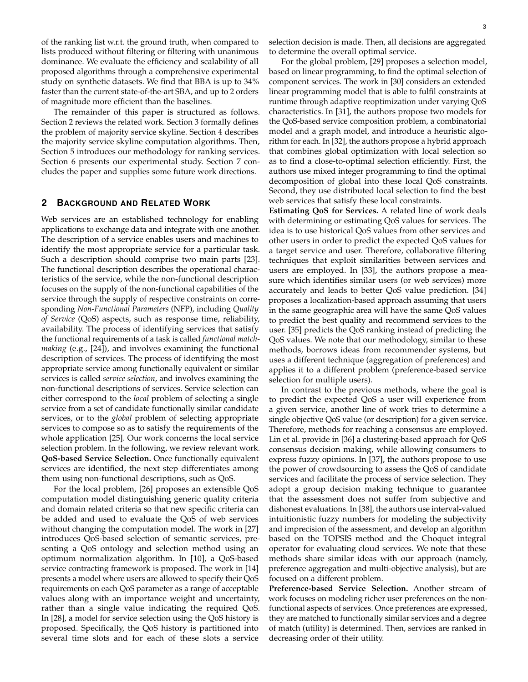of the ranking list w.r.t. the ground truth, when compared to lists produced without filtering or filtering with unanimous dominance. We evaluate the efficiency and scalability of all proposed algorithms through a comprehensive experimental study on synthetic datasets. We find that BBA is up to 34% faster than the current state-of-the-art SBA, and up to 2 orders of magnitude more efficient than the baselines.

The remainder of this paper is structured as follows. Section [2](#page-2-0) reviews the related work. Section [3](#page-3-0) formally defines the problem of majority service skyline. Section [4](#page-4-0) describes the majority service skyline computation algorithms. Then, Section [5](#page-7-0) introduces our methodology for ranking services. Section [6](#page-8-0) presents our experimental study. Section [7](#page-11-0) concludes the paper and supplies some future work directions.

## <span id="page-2-0"></span>**2 BACKGROUND AND RELATED WORK**

Web services are an established technology for enabling applications to exchange data and integrate with one another. The description of a service enables users and machines to identify the most appropriate service for a particular task. Such a description should comprise two main parts [\[23\]](#page-13-13). The functional description describes the operational characteristics of the service, while the non-functional description focuses on the supply of the non-functional capabilities of the service through the supply of respective constraints on corresponding *Non-Functional Parameters* (NFP), including *Quality of Service* (QoS) aspects, such as response time, reliability, availability. The process of identifying services that satisfy the functional requirements of a task is called *functional matchmaking* (e.g., [\[24\]](#page-13-14)), and involves examining the functional description of services. The process of identifying the most appropriate service among functionally equivalent or similar services is called *service selection*, and involves examining the non-functional descriptions of services. Service selection can either correspond to the *local* problem of selecting a single service from a set of candidate functionally similar candidate services, or to the *global* problem of selecting appropriate services to compose so as to satisfy the requirements of the whole application [\[25\]](#page-13-15). Our work concerns the local service selection problem. In the following, we review relevant work. **QoS-based Service Selection.** Once functionally equivalent services are identified, the next step differentiates among them using non-functional descriptions, such as QoS.

For the local problem, [\[26\]](#page-13-16) proposes an extensible QoS computation model distinguishing generic quality criteria and domain related criteria so that new specific criteria can be added and used to evaluate the QoS of web services without changing the computation model. The work in [\[27\]](#page-13-17) introduces QoS-based selection of semantic services, presenting a QoS ontology and selection method using an optimum normalization algorithm. In [\[10\]](#page-13-0), a QoS-based service contracting framework is proposed. The work in [\[14\]](#page-13-4) presents a model where users are allowed to specify their QoS requirements on each QoS parameter as a range of acceptable values along with an importance weight and uncertainty, rather than a single value indicating the required QoS. In [\[28\]](#page-13-18), a model for service selection using the QoS history is proposed. Specifically, the QoS history is partitioned into several time slots and for each of these slots a service

For the global problem, [\[29\]](#page-13-19) proposes a selection model, based on linear programming, to find the optimal selection of component services. The work in [\[30\]](#page-13-20) considers an extended linear programming model that is able to fulfil constraints at runtime through adaptive reoptimization under varying QoS characteristics. In [\[31\]](#page-13-21), the authors propose two models for the QoS-based service composition problem, a combinatorial model and a graph model, and introduce a heuristic algorithm for each. In [\[32\]](#page-13-22), the authors propose a hybrid approach that combines global optimization with local selection so as to find a close-to-optimal selection efficiently. First, the authors use mixed integer programming to find the optimal decomposition of global into these local QoS constraints. Second, they use distributed local selection to find the best web services that satisfy these local constraints.

**Estimating QoS for Services.** A related line of work deals with determining or estimating QoS values for services. The idea is to use historical QoS values from other services and other users in order to predict the expected QoS values for a target service and user. Therefore, collaborative filtering techniques that exploit similarities between services and users are employed. In [\[33\]](#page-13-23), the authors propose a measure which identifies similar users (or web services) more accurately and leads to better QoS value prediction. [\[34\]](#page-13-24) proposes a localization-based approach assuming that users in the same geographic area will have the same QoS values to predict the best quality and recommend services to the user. [\[35\]](#page-13-25) predicts the QoS ranking instead of predicting the QoS values. We note that our methodology, similar to these methods, borrows ideas from recommender systems, but uses a different technique (aggregation of preferences) and applies it to a different problem (preference-based service selection for multiple users).

In contrast to the previous methods, where the goal is to predict the expected QoS a user will experience from a given service, another line of work tries to determine a single objective QoS value (or description) for a given service. Therefore, methods for reaching a consensus are employed. Lin et al. provide in [\[36\]](#page-13-26) a clustering-based approach for QoS consensus decision making, while allowing consumers to express fuzzy opinions. In [\[37\]](#page-13-27), the authors propose to use the power of crowdsourcing to assess the QoS of candidate services and facilitate the process of service selection. They adopt a group decision making technique to guarantee that the assessment does not suffer from subjective and dishonest evaluations. In [\[38\]](#page-13-28), the authors use interval-valued intuitionistic fuzzy numbers for modeling the subjectivity and imprecision of the assessment, and develop an algorithm based on the TOPSIS method and the Choquet integral operator for evaluating cloud services. We note that these methods share similar ideas with our approach (namely, preference aggregation and multi-objective analysis), but are focused on a different problem.

**Preference-based Service Selection.** Another stream of work focuses on modeling richer user preferences on the nonfunctional aspects of services. Once preferences are expressed, they are matched to functionally similar services and a degree of match (utility) is determined. Then, services are ranked in decreasing order of their utility.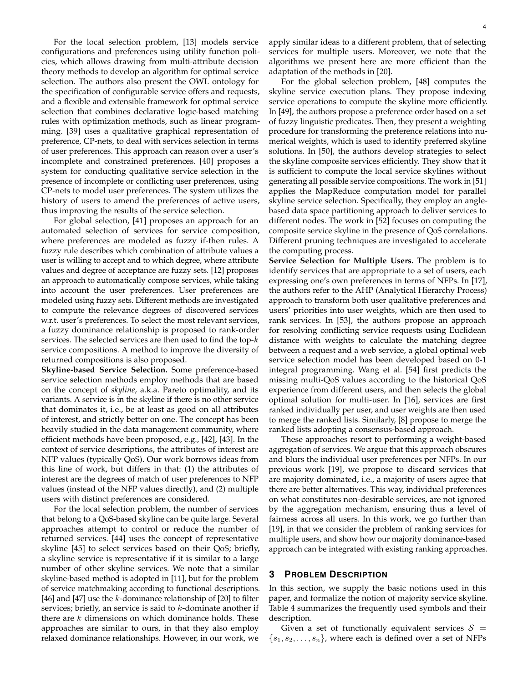For the local selection problem, [\[13\]](#page-13-3) models service configurations and preferences using utility function policies, which allows drawing from multi-attribute decision theory methods to develop an algorithm for optimal service selection. The authors also present the OWL ontology for the specification of configurable service offers and requests, and a flexible and extensible framework for optimal service selection that combines declarative logic-based matching rules with optimization methods, such as linear programming. [\[39\]](#page-13-29) uses a qualitative graphical representation of preference, CP-nets, to deal with services selection in terms of user preferences. This approach can reason over a user's incomplete and constrained preferences. [\[40\]](#page-13-30) proposes a system for conducting qualitative service selection in the presence of incomplete or conflicting user preferences, using CP-nets to model user preferences. The system utilizes the history of users to amend the preferences of active users, thus improving the results of the service selection.

For global selection, [\[41\]](#page-13-31) proposes an approach for an automated selection of services for service composition, where preferences are modeled as fuzzy if-then rules. A fuzzy rule describes which combination of attribute values a user is willing to accept and to which degree, where attribute values and degree of acceptance are fuzzy sets. [\[12\]](#page-13-2) proposes an approach to automatically compose services, while taking into account the user preferences. User preferences are modeled using fuzzy sets. Different methods are investigated to compute the relevance degrees of discovered services w.r.t. user's preferences. To select the most relevant services, a fuzzy dominance relationship is proposed to rank-order services. The selected services are then used to find the top- $k$ service compositions. A method to improve the diversity of returned compositions is also proposed.

**Skyline-based Service Selection.** Some preference-based service selection methods employ methods that are based on the concept of *skyline*, a.k.a. Pareto optimality, and its variants. A service is in the skyline if there is no other service that dominates it, i.e., be at least as good on all attributes of interest, and strictly better on one. The concept has been heavily studied in the data management community, where efficient methods have been proposed, e.g., [\[42\]](#page-13-32), [\[43\]](#page-13-33). In the context of service descriptions, the attributes of interest are NFP values (typically QoS). Our work borrows ideas from this line of work, but differs in that: (1) the attributes of interest are the degrees of match of user preferences to NFP values (instead of the NFP values directly), and (2) multiple users with distinct preferences are considered.

For the local selection problem, the number of services that belong to a QoS-based skyline can be quite large. Several approaches attempt to control or reduce the number of returned services. [\[44\]](#page-13-34) uses the concept of representative skyline [\[45\]](#page-13-35) to select services based on their QoS; briefly, a skyline service is representative if it is similar to a large number of other skyline services. We note that a similar skyline-based method is adopted in [\[11\]](#page-13-1), but for the problem of service matchmaking according to functional descriptions. [\[46\]](#page-13-36) and [\[47\]](#page-13-37) use the  $k$ -dominance relationship of [\[20\]](#page-13-10) to filter services; briefly, an service is said to  $k$ -dominate another if there are  $k$  dimensions on which dominance holds. These approaches are similar to ours, in that they also employ relaxed dominance relationships. However, in our work, we

apply similar ideas to a different problem, that of selecting services for multiple users. Moreover, we note that the algorithms we present here are more efficient than the adaptation of the methods in [\[20\]](#page-13-10).

For the global selection problem, [\[48\]](#page-13-38) computes the skyline service execution plans. They propose indexing service operations to compute the skyline more efficiently. In [\[49\]](#page-13-39), the authors propose a preference order based on a set of fuzzy linguistic predicates. Then, they present a weighting procedure for transforming the preference relations into numerical weights, which is used to identify preferred skyline solutions. In [\[50\]](#page-13-40), the authors develop strategies to select the skyline composite services efficiently. They show that it is sufficient to compute the local service skylines without generating all possible service compositions. The work in [\[51\]](#page-13-41) applies the MapReduce computation model for parallel skyline service selection. Specifically, they employ an anglebased data space partitioning approach to deliver services to different nodes. The work in [\[52\]](#page-13-42) focuses on computing the composite service skyline in the presence of QoS correlations. Different pruning techniques are investigated to accelerate the computing process.

**Service Selection for Multiple Users.** The problem is to identify services that are appropriate to a set of users, each expressing one's own preferences in terms of NFPs. In [\[17\]](#page-13-7), the authors refer to the AHP (Analytical Hierarchy Process) approach to transform both user qualitative preferences and users' priorities into user weights, which are then used to rank services. In [\[53\]](#page-13-43), the authors propose an approach for resolving conflicting service requests using Euclidean distance with weights to calculate the matching degree between a request and a web service, a global optimal web service selection model has been developed based on 0-1 integral programming. Wang et al. [\[54\]](#page-13-44) first predicts the missing multi-QoS values according to the historical QoS experience from different users, and then selects the global optimal solution for multi-user. In [\[16\]](#page-13-6), services are first ranked individually per user, and user weights are then used to merge the ranked lists. Similarly, [\[8\]](#page-12-7) propose to merge the ranked lists adopting a consensus-based approach.

These approaches resort to performing a weight-based aggregation of services. We argue that this approach obscures and blurs the individual user preferences per NFPs. In our previous work [\[19\]](#page-13-9), we propose to discard services that are majority dominated, i.e., a majority of users agree that there are better alternatives. This way, individual preferences on what constitutes non-desirable services, are not ignored by the aggregation mechanism, ensuring thus a level of fairness across all users. In this work, we go further than [\[19\]](#page-13-9), in that we consider the problem of ranking services for multiple users, and show how our majority dominance-based approach can be integrated with existing ranking approaches.

## <span id="page-3-0"></span>**3 PROBLEM DESCRIPTION**

In this section, we supply the basic notions used in this paper, and formalize the notion of majority service skyline. Table [4](#page-4-1) summarizes the frequently used symbols and their description.

Given a set of functionally equivalent services  $S =$  ${s_1, s_2, \ldots, s_n}$ , where each is defined over a set of NFPs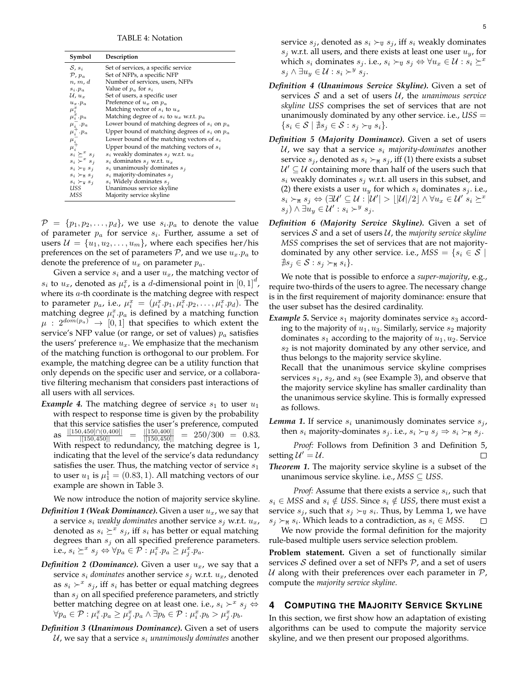TABLE 4: Notation

<span id="page-4-1"></span>

| Symbol                                                     | Description                                       |
|------------------------------------------------------------|---------------------------------------------------|
| $S, s_i$                                                   | Set of services, a specific service               |
| $\mathcal{P}, p_a$                                         | Set of NFPs, a specific NFP                       |
| n, m, d                                                    | Number of services, users, NFPs                   |
| $s_i.p_a$                                                  | Value of $p_a$ for $s_i$                          |
| $\mathcal{U}, u_x$                                         | Set of users, a specific user                     |
| $u_x$ . $p_a$                                              | Preference of $u_x$ on $p_a$                      |
|                                                            | Matching vector of $s_i$ to $u_x$                 |
| $\mu^x_i \\ \mu^x_i. p_a$                                  | Matching degree of $s_i$ to $u_x$ w.r.t. $p_a$    |
|                                                            | Lower bound of matching degrees of $s_i$ on $p_a$ |
| $\mu_i^-, p_a$<br>$\mu_i^+, p_a$<br>$\mu_i^+$<br>$\mu_i^+$ | Upper bound of matching degrees of $s_i$ on $p_a$ |
|                                                            | Lower bound of the matching vectors of $s_i$      |
|                                                            | Upper bound of the matching vectors of $s_i$      |
| $s_i \succeq^x s_j$                                        | $s_i$ weakly dominates $s_i$ w.r.t. $u_x$         |
| $s_i \succ^x s_i$                                          | $s_i$ dominates $s_j$ w.r.t. $u_x$                |
| $s_i \succ_{\text{U}} s_j$                                 | $s_i$ unanimously dominates $s_i$                 |
| $s_i \succ_M s_j$                                          | $s_i$ majority-dominates $s_i$                    |
| $s_i \succ_{\mathsf{W}} s_i$                               | $s_i$ Widely dominates $s_i$                      |
| uss                                                        | Unanimous service skyline                         |
| MSS                                                        | Majority service skyline                          |

 $\mathcal{P} = \{p_1, p_2, \ldots, p_d\}$ , we use  $s_i \cdot p_a$  to denote the value of parameter  $p_a$  for service  $s_i$ . Further, assume a set of users  $\mathcal{U} = \{u_1, u_2, \dots, u_m\}$ , where each specifies her/his preferences on the set of parameters  $P$ , and we use  $u_x \cdot p_a$  to denote the preference of  $u_x$  on parameter  $p_a$ .

Given a service  $s_i$  and a user  $u_x$ , the matching vector of  $s_i$  to  $u_x$ , denoted as  $\mu_i^x$ , is a *d*-dimensional point in  $[0,1]^d$ , where its *a*-th coordinate is the matching degree with respect to parameter  $p_a$ , i.e.,  $\mu_i^x = (\mu_i^x.p_1, \mu_i^x.p_2, \ldots, \mu_i^x.p_d)$ . The matching degree  $\mu_i^x \cdot p_a$  is defined by a matching function  $\mu$  :  $2^{dom(p_a)} \rightarrow [0,1]$  that specifies to which extent the service's NFP value (or range, or set of values)  $p_a$  satisfies the users' preference  $u_x$ . We emphasize that the mechanism of the matching function is orthogonal to our problem. For example, the matching degree can be a utility function that only depends on the specific user and service, or a collaborative filtering mechanism that considers past interactions of all users with all services.

*Example 4.* The matching degree of service  $s_1$  to user  $u_1$ with respect to response time is given by the probability that this service satisfies the user's preference, computed as  $\frac{|[150,450] \cap (0,400]|}{|[150,450]|}$  =  $\frac{|[150,400]|}{|[150,450]|}$  $= 250/300 = 0.83.$ With respect to redundancy, the matching degree is 1, indicating that the level of the service's data redundancy satisfies the user. Thus, the matching vector of service  $s_1$ to user  $u_1$  is  $\mu_1^1 = (0.83, 1)$ . All matching vectors of our example are shown in Table [3.](#page-1-0)

We now introduce the notion of majority service skyline.

- *Definition 1 (Weak Dominance).* Given a user  $u_x$ , we say that a service  $s_i$  *weakly dominates* another service  $s_j$  w.r.t.  $u_x$ , denoted as  $s_i \succeq^x s_j$ , iff  $s_i$  has better or equal matching degrees than  $s_j$  on all specified preference parameters. i.e.,  $s_i \succeq^x s_j \Leftrightarrow \forall p_a \in \mathcal{P} : \mu_i^x.p_a \geq \mu_j^x.p_a.$
- *Definition 2 (Dominance).* Given a user  $u_x$ , we say that a service  $s_i$  *dominates* another service  $s_j$  w.r.t.  $u_x$ , denoted as  $s_i \succ^x s_j$ , iff  $s_i$  has better or equal matching degrees than  $s_i$  on all specified preference parameters, and strictly better matching degree on at least one. i.e.,  $s_i \succ^x s_j \Leftrightarrow$  $\forall p_a \in \mathcal{P}: \mu_i^x.p_a \geq \mu_j^x.p_a \land \exists p_b \in \mathcal{P}: \mu_i^x.p_b > \mu_j^x.p_b.$
- <span id="page-4-2"></span>*Definition 3 (Unanimous Dominance).* Given a set of users U, we say that a service  $s_i$  *unanimously dominates* another

service  $s_j$ , denoted as  $s_i \succ_{\text{U}} s_j$ , iff  $s_i$  weakly dominates  $s_i$  w.r.t. all users, and there exists at least one user  $u_y$ , for which  $s_i$  dominates  $s_j$ . i.e.,  $s_i \succ_{\mathsf{U}} s_j \Leftrightarrow \forall u_x \in \mathcal{U} : s_i \succeq^x$  $s_j \wedge \exists u_y \in \mathcal{U} : s_i \succ^y s_j.$ 

- *Definition 4 (Unanimous Service Skyline).* Given a set of services S and a set of users U, the *unanimous service skyline USS* comprises the set of services that are not unanimously dominated by any other service. i.e., *USS* =  $\{s_i \in \mathcal{S} \mid \nexists s_j \in \mathcal{S} : s_j \succ_{\mathsf{U}} s_i\}.$
- <span id="page-4-3"></span>*Definition 5 (Majority Dominance).* Given a set of users U, we say that a service  $s_i$  *majority-dominates* another service  $s_j$ , denoted as  $s_i \succ_M s_j$ , iff (1) there exists a subset  $\mathcal{U}' \subseteq \mathcal{U}$  containing more than half of the users such that  $s_i$  weakly dominates  $s_j$  w.r.t. all users in this subset, and (2) there exists a user  $u_y$  for which  $s_i$  dominates  $s_j$ . i.e.,  $s_i \succ_\mathtt{M} s_j \Leftrightarrow (\exists \mathcal{U}' \subseteq \mathcal{U} : |\mathcal{U}'| > \lfloor |\mathcal{U}|/2 \rfloor \wedge \forall u_x \in \mathcal{U}'\ s_i \succeq^x$  $(s_j) \wedge \exists u_y \in \mathcal{U}' : s_i \succ^y s_j.$
- *Definition 6 (Majority Service Skyline).* Given a set of services S and a set of users U, the *majority service skyline MSS* comprises the set of services that are not majoritydominated by any other service. i.e.,  $MSS = \{s_i \in S \mid$  $\exists s_j \in \mathcal{S} : s_j \succ_M s_i$ .

We note that is possible to enforce a *super-majority*, e.g., require two-thirds of the users to agree. The necessary change is in the first requirement of majority dominance: ensure that the user subset has the desired cardinality.

*Example 5.* Service  $s_1$  majority dominates service  $s_3$  according to the majority of  $u_1, u_3$ . Similarly, service  $s_2$  majority dominates  $s_1$  according to the majority of  $u_1, u_2$ . Service  $s<sub>2</sub>$  is not majority dominated by any other service, and thus belongs to the majority service skyline.

Recall that the unanimous service skyline comprises services  $s_1$ ,  $s_2$ , and  $s_3$  (see Example [3\)](#page-1-1), and observe that the majority service skyline has smaller cardinality than the unanimous service skyline. This is formally expressed as follows.

<span id="page-4-4"></span>*Lemma 1.* If service  $s_i$  unanimously dominates service  $s_j$ , then  $s_i$  majority-dominates  $s_j$ . i.e.,  $s_i \succ_{\text{U}} s_j \Rightarrow s_i \succ_{\text{M}} s_j$ .

*Proof:* Follows from Definition [3](#page-4-2) and Definition [5,](#page-4-3) setting  $\mathcal{U}' = \mathcal{U}$ . □

*Theorem 1.* The majority service skyline is a subset of the unanimous service skyline. i.e., *MSS* ⊆ *USS*.

*Proof:* Assume that there exists a service  $s_i$ , such that  $s_i$  ∈ *MSS* and  $s_i$  ∉ *USS*. Since  $s_i$  ∉ *USS*, there must exist a service  $s_j$ , such that  $s_j \succ_{\mathsf{U}} s_i$ . Thus, by Lemma [1,](#page-4-4) we have  $s_j$  ≻<sub>M</sub>  $s_i$ . Which leads to a contradiction, as  $s_i$  ∈ *MSS*.  $\Box$ 

We now provide the formal definition for the majority rule-based multiple users service selection problem.

**Problem statement.** Given a set of functionally similar services  $S$  defined over a set of NFPs  $P$ , and a set of users U along with their preferences over each parameter in  $P$ , compute the *majority service skyline*.

## <span id="page-4-0"></span>**4 COMPUTING THE MAJORITY SERVICE SKYLINE**

In this section, we first show how an adaptation of existing algorithms can be used to compute the majority service skyline, and we then present our proposed algorithms.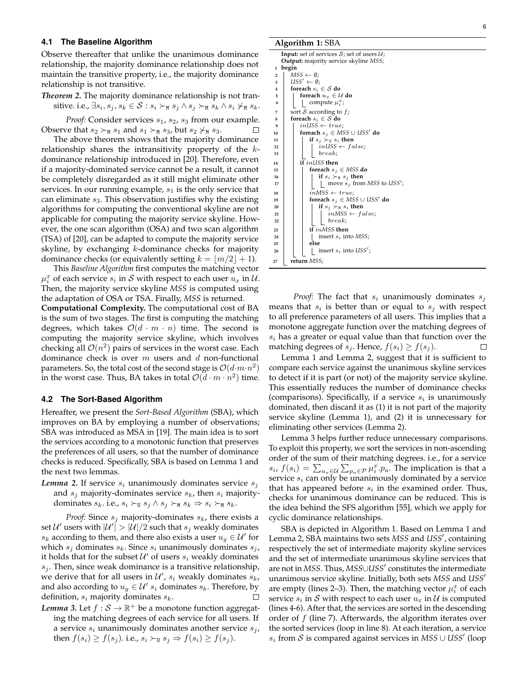#### <span id="page-5-3"></span>**4.1 The Baseline Algorithm**

Observe thereafter that unlike the unanimous dominance relationship, the majority dominance relationship does not maintain the transitive property, i.e., the majority dominance relationship is not transitive.

# *Theorem 2.* The majority dominance relationship is not transitive. i.e.,  $\exists s_i, s_j, s_k \in \mathcal{S}: s_i \succ_\mathbb{M} s_j \wedge s_j \succ_\mathbb{M} s_k \wedge s_i \nsucc_\mathbb{M} s_k.$

*Proof:* Consider services  $s_1$ ,  $s_2$ ,  $s_3$  from our example. Observe that  $s_2 \succ_M s_1$  and  $s_1 \succ_M s_3$ , but  $s_2 \not\vdash_M s_3$ .

The above theorem shows that the majority dominance relationship shares the intransitivity property of the  $k$ dominance relationship introduced in [\[20\]](#page-13-10). Therefore, even if a majority-dominated service cannot be a result, it cannot be completely disregarded as it still might eliminate other services. In our running example,  $s_1$  is the only service that can eliminate  $s_3$ . This observation justifies why the existing algorithms for computing the conventional skyline are not applicable for computing the majority service skyline. However, the one scan algorithm (OSA) and two scan algorithm (TSA) of [\[20\]](#page-13-10), can be adapted to compute the majority service skyline, by exchanging  $k$ -dominance checks for majority dominance checks (or equivalently setting  $k = |m/2| + 1$ ).

This *Baseline Algorithm* first computes the matching vector  $\mu_i^x$  of each service  $s_i$  in  $\mathcal S$  with respect to each user  $u_x$  in  $\mathcal U$ . Then, the majority service skyline *MSS* is computed using the adaptation of OSA or TSA. Finally, *MSS* is returned.

**Computational Complexity.** The computational cost of BA is the sum of two stages. The first is computing the matching degrees, which takes  $\mathcal{O}(d \cdot m \cdot n)$  time. The second is computing the majority service skyline, which involves checking all  $\mathcal{O}(n^2)$  pairs of services in the worst case. Each dominance check is over  $m$  users and  $d$  non-functional parameters. So, the total cost of the second stage is  $\mathcal{O}(d \cdot m \cdot n^2)$ in the worst case. Thus, BA takes in total  $\mathcal{O}(d \cdot m \cdot n^2)$  time.

#### <span id="page-5-4"></span>**4.2 The Sort-Based Algorithm**

Hereafter, we present the *Sort-Based Algorithm* (SBA), which improves on BA by employing a number of observations; SBA was introduced as MSA in [\[19\]](#page-13-9). The main idea is to sort the services according to a monotonic function that preserves the preferences of all users, so that the number of dominance checks is reduced. Specifically, SBA is based on Lemma [1](#page-4-4) and the next two lemmas.

<span id="page-5-0"></span>*Lemma 2.* If service  $s_i$  unanimously dominates service  $s_i$ and  $s_i$  majority-dominates service  $s_k$ , then  $s_i$  majoritydominates  $s_k$ . i.e.,  $s_i \succ_{\mathsf{U}} s_j \wedge s_j \succ_{\mathsf{M}} s_k \Rightarrow s_i \succ_{\mathsf{M}} s_k$ .

*Proof:* Since  $s_i$  majority-dominates  $s_k$ , there exists a set  $\mathcal U'$  users with  $|\mathcal U'| > |\mathcal U|/2$  such that  $s_j$  weakly dominates  $s_k$  according to them, and there also exists a user  $u_y \in \mathcal{U}'$  for which  $s_i$  dominates  $s_k$ . Since  $s_i$  unanimously dominates  $s_i$ , it holds that for the subset  $\mathcal{U}'$  of users  $s_i$  weakly dominates  $s_i$ . Then, since weak dominance is a transitive relationship, we derive that for all users in  $\mathcal{U}', s_i$  weakly dominates  $s_k$ , and also according to  $u_y \in \mathcal{U}'$   $s_i$  dominates  $s_k$ . Therefore, by definition,  $s_i$  majority dominates  $s_k$ .

<span id="page-5-1"></span>*Lemma* 3. Let  $f : \mathcal{S} \to \mathbb{R}^+$  be a monotone function aggregating the matching degrees of each service for all users. If a service  $s_i$  unanimously dominates another service  $s_i$ , then  $f(s_i) \ge f(s_j)$ . i.e.,  $s_i \succ_{\mathbf{U}} s_j \Rightarrow f(s_i) \ge f(s_j)$ .

#### **Algorithm 1:** SBA

<span id="page-5-2"></span>

|    | <b>Input:</b> set of services $S$ ; set of users $U$ ; |  |  |
|----|--------------------------------------------------------|--|--|
|    | <b>Output:</b> majority service skyline MSS;           |  |  |
| 1  | begin                                                  |  |  |
| 2  | $MSS \leftarrow \emptyset$                             |  |  |
| 3  | $USS' \leftarrow \emptyset$                            |  |  |
| 4  | foreach $s_i \in \mathcal{S}$ do                       |  |  |
| 5  | foreach $u_x \in \mathcal{U}$ do                       |  |  |
| 6  | compute $\mu_i^x$ ;                                    |  |  |
| 7  | sort S according to $f$ ;                              |  |  |
| 8  | foreach $s_i \in \mathcal{S}$ do                       |  |  |
| 9  | $inUSS \leftarrow true;$                               |  |  |
| 10 | foreach $s_j \in MSS \cup USS'$ do                     |  |  |
| 11 | if $s_j \succ_{\text{U}} s_i$ then                     |  |  |
| 12 | $inUSS \leftarrow false;$                              |  |  |
| 13 | break;                                                 |  |  |
| 14 | if inUSS then                                          |  |  |
| 15 | foreach $s_j \in MSS$ do                               |  |  |
| 16 | if $s_i \succ_{M} s_j$ then                            |  |  |
| 17 | move $s_i$ from MSS to USS';                           |  |  |
| 18 | $inMSS \leftarrow true;$                               |  |  |
| 19 | foreach $s_i \in MSS \cup USS'$ do                     |  |  |
| 20 | if $s_j \succ_M s_i$ then                              |  |  |
| 21 | $inMSS \leftarrow false;$                              |  |  |
| 22 | break:                                                 |  |  |
| 23 | if inMSS then                                          |  |  |
| 24 | insert $s_i$ into MSS;                                 |  |  |
| 25 | else                                                   |  |  |
| 26 | insert $s_i$ into USS';                                |  |  |
| 27 | return MSS;                                            |  |  |
|    |                                                        |  |  |

*Proof:* The fact that  $s_i$  unanimously dominates  $s_i$ means that  $s_i$  is better than or equal to  $s_j$  with respect to all preference parameters of all users. This implies that a monotone aggregate function over the matching degrees of  $s_i$  has a greater or equal value than that function over the matching degrees of  $s_i$ . Hence,  $f(s_i) \geq f(s_i)$ .  $\Box$ 

Lemma [1](#page-4-4) and Lemma [2,](#page-5-0) suggest that it is sufficient to compare each service against the unanimous skyline services to detect if it is part (or not) of the majority service skyline. This essentially reduces the number of dominance checks (comparisons). Specifically, if a service  $s_i$  is unanimously dominated, then discard it as (1) it is not part of the majority service skyline (Lemma [1\)](#page-4-4), and (2) it is unnecessary for eliminating other services (Lemma [2\)](#page-5-0).

Lemma [3](#page-5-1) helps further reduce unnecessary comparisons. To exploit this property, we sort the services in non-ascending order of the sum of their matching degrees. i.e., for a service  $s_i$ ,  $f(s_i) = \sum_{u_x \in \mathcal{U}} \sum_{p_a \in \mathcal{P}} \mu_i^x \cdot p_a$ . The implication is that a service  $s_i$  can only be unanimously dominated by a service that has appeared before  $s_i$  in the examined order. Thus, checks for unanimous dominance can be reduced. This is the idea behind the SFS algorithm [\[55\]](#page-13-45), which we apply for cyclic dominance relationships.

SBA is depicted in Algorithm [1.](#page-5-2) Based on Lemma [1](#page-4-4) and Lemma [2,](#page-5-0) SBA maintains two sets *MSS* and *USS'*, containing respectively the set of intermediate majority skyline services and the set of intermediate unanimous skyline services that are not in *MSS*. Thus*, MSS∪USS'* constitutes the intermediate unanimous service skyline. Initially, both sets *MSS* and *USS*<sup>0</sup> are empty (lines 2–3). Then, the matching vector  $\mu_i^x$  of each service  $s_i$  in  $\mathcal S$  with respect to each user  $u_x$  in  $\mathcal U$  is computed (lines 4-6). After that, the services are sorted in the descending order of  $f$  (line 7). Afterwards, the algorithm iterates over the sorted services (loop in line 8). At each iteration, a service  $s_i$  from  $\mathcal S$  is compared against services in  $\mathit{MSS} \cup \mathit{USS}'$  (loop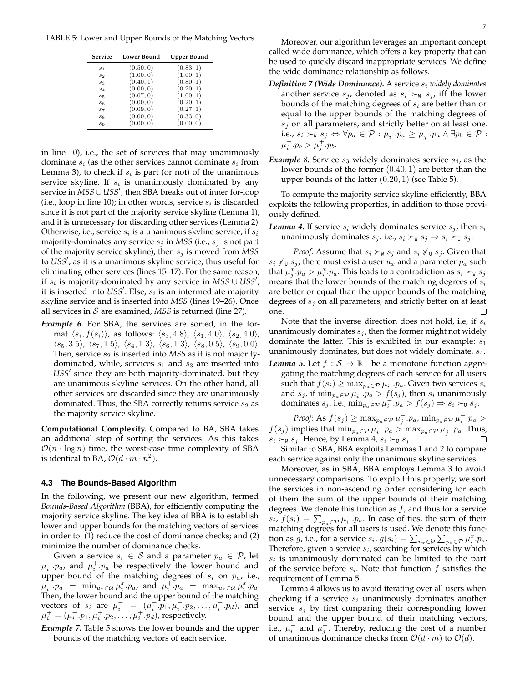<span id="page-6-0"></span>TABLE 5: Lower and Upper Bounds of the Matching Vectors

| Service        | <b>Lower Bound</b> | <b>Upper Bound</b> |
|----------------|--------------------|--------------------|
| S <sub>1</sub> | (0.50, 0)          | (0.83, 1)          |
| $s_{2}$        | (1.00, 0)          | (1.00, 1)          |
| $s_3$          | (0.40, 1)          | (0.80, 1)          |
| S <sub>4</sub> | (0.00, 0)          | (0.20, 1)          |
| $s_{5}$        | (0.67, 0)          | (1.00, 1)          |
| $s_6$          | (0.00, 0)          | (0.20, 1)          |
| $s_7$          | (0.09, 0)          | (0.27, 1)          |
| $s_{8}$        | (0.00, 0)          | (0.33, 0)          |
| $s_9$          | (0.00, 0)          | (0.00, 0)          |

in line 10), i.e., the set of services that may unanimously dominate  $s_i$  (as the other services cannot dominate  $s_i$  from Lemma [3\)](#page-5-1), to check if  $s_i$  is part (or not) of the unanimous service skyline. If  $s_i$  is unanimously dominated by any service in *MSS*∪*USS'*, then SBA breaks out of inner for-loop (i.e., loop in line 10); in other words, service  $s_i$  is discarded since it is not part of the majority service skyline (Lemma [1\)](#page-4-4), and it is unnecessary for discarding other services (Lemma [2\)](#page-5-0). Otherwise, i.e., service  $s_i$  is a unanimous skyline service, if  $s_i$ majority-dominates any service  $s_j$  in *MSS* (i.e.,  $s_j$  is not part of the majority service skyline), then  $s_i$  is moved from *MSS* to *USS'*, as it is a unanimous skyline service, thus useful for eliminating other services (lines 15–17). For the same reason, if  $s_i$  is majority-dominated by any service in  $MSS \cup USS'$ , it is inserted into  $USS'$ . Else,  $s_i$  is an intermediate majority skyline service and is inserted into *MSS* (lines 19–26). Once all services in S are examined, *MSS* is returned (line 27).

*Example 6.* For SBA, the services are sorted, in the format  $\langle s_i, f(s_i) \rangle$ , as follows:  $\langle s_3, 4.8 \rangle$ ,  $\langle s_1, 4.0 \rangle$ ,  $\langle s_2, 4.0 \rangle$ ,  $\langle s_5, 3.5 \rangle$ ,  $\langle s_7, 1.5 \rangle$ ,  $\langle s_4, 1.3 \rangle$ ,  $\langle s_6, 1.3 \rangle$ ,  $\langle s_8, 0.5 \rangle$ ,  $\langle s_9, 0.0 \rangle$ . Then, service  $s_2$  is inserted into *MSS* as it is not majoritydominated, while, services  $s_1$  and  $s_3$  are inserted into USS' since they are both majority-dominated, but they are unanimous skyline services. On the other hand, all other services are discarded since they are unanimously dominated. Thus, the SBA correctly returns service  $s_2$  as the majority service skyline.

**Computational Complexity.** Compared to BA, SBA takes an additional step of sorting the services. As this takes  $\mathcal{O}(n \cdot \log n)$  time, the worst-case time complexity of SBA is identical to BA,  $\mathcal{O}(d \cdot m \cdot n^2)$ .

#### <span id="page-6-3"></span>**4.3 The Bounds-Based Algorithm**

In the following, we present our new algorithm, termed *Bounds-Based Algorithm* (BBA), for efficiently computing the majority service skyline. The key idea of BBA is to establish lower and upper bounds for the matching vectors of services in order to: (1) reduce the cost of dominance checks; and (2) minimize the number of dominance checks.

Given a service  $s_i \in S$  and a parameter  $p_a \in \mathcal{P}$ , let  $\mu_i^- p_a$ , and  $\mu_i^+ p_a$  be respectively the lower bound and upper bound of the matching degrees of  $s_i$  on  $p_a$ , i.e.,  $\mu_i^-, p_a = \min_{u_x \in \mathcal{U}} \mu_i^x \cdot p_a$ , and  $\mu_i^+, p_a = \max_{u_x \in \mathcal{U}} \mu_i^x \cdot p_a$ . Then, the lower bound and the upper bound of the matching vectors of  $s_i$  are  $\mu_i^- = (\mu_i^-, p_1, \mu_i^-, p_2, \dots, \mu_i^-, p_d)$ , and  $\mu_i^+ = (\mu_i^+.p_1, \mu_i^+.p_2, \ldots, \mu_i^+.p_d)$ , respectively.

*Example 7.* Table [5](#page-6-0) shows the lower bounds and the upper bounds of the matching vectors of each service.

Moreover, our algorithm leverages an important concept called wide dominance, which offers a key property that can be used to quickly discard inappropriate services. We define the wide dominance relationship as follows.

- *Definition 7 (Wide Dominance).* A service  $s_i$  *widely dominates* another service  $s_j$ , denoted as  $s_i \succ_{w} s_j$ , iff the lower bounds of the matching degrees of  $s_i$  are better than or equal to the upper bounds of the matching degrees of  $s_i$  on all parameters, and strictly better on at least one. i.e.,  $s_i \succ_{w} s_j \Leftrightarrow \forall p_a \in \mathcal{P} : \mu_i^-, p_a \geq \mu_j^+, p_a \wedge \exists p_b \in \mathcal{P}$ :  $\mu_i^- . p_b > \mu_j^+ . p_b.$
- *Example 8.* Service  $s_3$  widely dominates service  $s_4$ , as the lower bounds of the former (0.40, 1) are better than the upper bounds of the latter  $(0.20, 1)$  (see Table [5\)](#page-6-0).

To compute the majority service skyline efficiently, BBA exploits the following properties, in addition to those previously defined.

<span id="page-6-1"></span>*Lemma 4.* If service  $s_i$  widely dominates service  $s_j$ , then  $s_i$ unanimously dominates  $s_j$ . i.e.,  $s_i \succ_w s_j \Rightarrow s_i \succ_v s_j$ .

*Proof:* Assume that  $s_i \succ_{W} s_j$  and  $s_i \not\succ_{W} s_j$ . Given that  $s_i \not\vdash_{\mathsf{U}} s_j$ , there must exist a user  $u_x$  and a parameter  $p_a$  such that  $\mu_j^x \cdot p_a > \mu_i^x \cdot p_a$ . This leads to a contradiction as  $s_i \succ_\mathtt{W} s_j$ means that the lower bounds of the matching degrees of  $s_i$ are better or equal than the upper bounds of the matching degrees of  $s_i$  on all parameters, and strictly better on at least one. П

Note that the inverse direction does not hold, i.e, if  $s_i$ unanimously dominates  $s_j$ , then the former might not widely dominate the latter. This is exhibited in our example:  $s_1$ unanimously dominates, but does not widely dominate,  $s_4$ .

<span id="page-6-2"></span>*Lemma 5.* Let  $f : \mathcal{S} \to \mathbb{R}^+$  be a monotone function aggregating the matching degrees of each service for all users such that  $f(s_i) \ge \max_{p_a \in \mathcal{P}} \mu_i^+, p_a$ . Given two services  $s_i$ and  $s_j$ , if  $\min_{p_a \in \mathcal{P}} \mu_i^{-1} \overline{p_a} > f(s_j)$ , then  $s_i$  unanimously dominates  $s_j$ . i.e.,  $\min_{p_a \in \mathcal{P}} \mu_i^-, p_a > f(s_j) \Rightarrow s_i \succ_v s_j$ .

*Proof:* As  $f(s_j) \ge \max_{p_a \in \mathcal{P}} \mu_j^+, p_a$ ,  $\min_{p_a \in \mathcal{P}} \mu_i^-, p_a >$  $f(s_j)$  implies that  $\min_{p_a \in \mathcal{P}} \mu_i^-, p_a > \max_{p_a \in \mathcal{P}} \mu_j^+, p_a$ . Thus,  $s_i \succ_{W} s_j$ . Hence, by Lemma [4,](#page-6-1)  $s_i \succ_{W} s_j$ .

Similar to SBA, BBA exploits Lemmas [1](#page-4-4) and [2](#page-5-0) to compare each service against only the unanimous skyline services.

Moreover, as in SBA, BBA employs Lemma [3](#page-5-1) to avoid unnecessary comparisons. To exploit this property, we sort the services in non-ascending order considering for each of them the sum of the upper bounds of their matching degrees. We denote this function as  $f$ , and thus for a service  $s_i$ ,  $f(s_i) = \sum_{p_a \in \mathcal{P}} \mu_i^+, p_a$ . In case of ties, the sum of their matching degrees for all users is used. We denote this function as g, i.e., for a service  $s_i$ ,  $g(s_i) = \sum_{u_x \in \mathcal{U}} \sum_{p_a \in \mathcal{P}} \mu_i^x \cdot p_a$ . Therefore, given a service  $s_i$ , searching for services by which  $s_i$  is unanimously dominated can be limited to the part of the service before  $s_i$ . Note that function  $f$  satisfies the requirement of Lemma [5.](#page-6-2)

Lemma [4](#page-6-1) allows us to avoid iterating over all users when checking if a service  $s_i$  unanimously dominates another service  $s_i$  by first comparing their corresponding lower bound and the upper bound of their matching vectors, i.e.,  $\mu_i^-$  and  $\mu_j^+$ . Thereby, reducing the cost of a number of unanimous dominance checks from  $\mathcal{O}(d \cdot m)$  to  $\mathcal{O}(d)$ .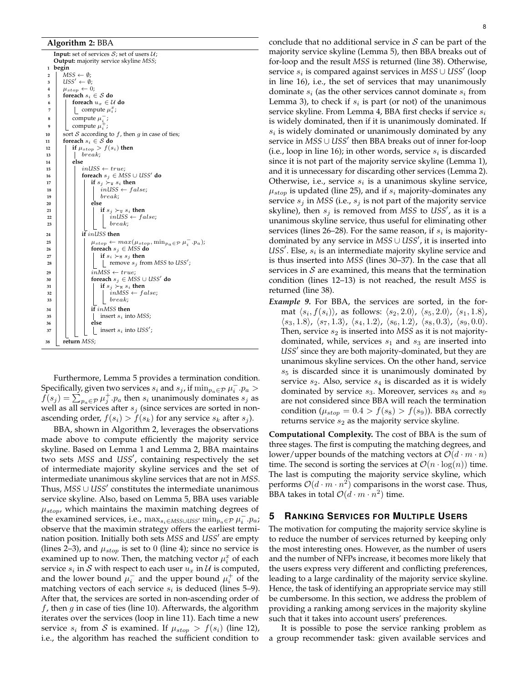#### **Algorithm 2:** BBA

<span id="page-7-1"></span>

|                | <b>Input:</b> set of services $S$ ; set of users $U$ ;                           |  |  |
|----------------|----------------------------------------------------------------------------------|--|--|
|                | Output: majority service skyline MSS;                                            |  |  |
| 1              | begin                                                                            |  |  |
| $\overline{2}$ | $MSS \leftarrow \emptyset$ ;                                                     |  |  |
| 3              | $USS' \leftarrow \emptyset$                                                      |  |  |
| $\overline{4}$ | $\mu_{stop} \leftarrow 0;$                                                       |  |  |
| 5              | foreach $s_i \in \mathcal{S}$ do                                                 |  |  |
| 6              | foreach $u_x \in \mathcal{U}$ do                                                 |  |  |
| 7              | compute $\mu_i^x$ ;                                                              |  |  |
| 8              | compute $\mu_i^-$ ;                                                              |  |  |
| 9              | compute $\mu_i^+$ ;                                                              |  |  |
| 10             | sort S according to $f$ , then $g$ in case of ties;                              |  |  |
| 11             | foreach $s_i \in \mathcal{S}$ do                                                 |  |  |
| 12             | if $\mu_{stop} > f(s_i)$ then                                                    |  |  |
| 13             | break;                                                                           |  |  |
| 14             | else                                                                             |  |  |
| 15             | $in$ <i>USS</i> $\leftarrow true$ ;                                              |  |  |
| 16             | foreach $s_j \in MSS \cup USS'$ do                                               |  |  |
| 17             | if $s_i \succ_{w} s_i$ then                                                      |  |  |
| 18             | $inUSS \leftarrow false;$                                                        |  |  |
| 19             | break;                                                                           |  |  |
| 20             | else                                                                             |  |  |
| 21             | if $s_i \succ_{\text{U}} s_i$ then                                               |  |  |
| 22             | $inUSS \leftarrow false;$                                                        |  |  |
| 23             | break;                                                                           |  |  |
| 24             | if inUSS then                                                                    |  |  |
| 25             | $\mu_{stop} \leftarrow max(\mu_{stop}, \min_{pa \in \mathcal{P}} \mu_i^-, p_a);$ |  |  |
| 26             | foreach $s_i \in MSS$ do                                                         |  |  |
| 27             | if $s_i \succ_{M} s_j$ then                                                      |  |  |
| 28             | remove $s_j$ from MSS to USS';                                                   |  |  |
| 29             | $inMSS \leftarrow true;$                                                         |  |  |
| 30             | foreach $s_i \in MSS \cup USS'$ do                                               |  |  |
| 31             | if $s_j \succ_{\mathbb{M}} s_i$ then                                             |  |  |
| 32             | $inMSS \leftarrow false;$                                                        |  |  |
| 33             | break;                                                                           |  |  |
| 34             | if $inMSS$ then                                                                  |  |  |
| 35             | insert $s_i$ into MSS;                                                           |  |  |
| 36             | else                                                                             |  |  |
| 37             | insert $s_i$ into USS';                                                          |  |  |
| 38             | return MSS;                                                                      |  |  |

Furthermore, Lemma [5](#page-6-2) provides a termination condition. Specifically, given two services  $s_i$  and  $s_j$ , if  $\min_{p_a \in \mathcal{P}} \mu_i^-, p_a >$  $f(s_j) = \sum_{p_a \in \mathcal{P}}^{\mathcal{P}} \mu_j^+ p_a$  then  $s_i$  unanimously dominates  $s_j$  as well as all services after  $s_i$  (since services are sorted in nonascending order,  $f(s_i) > f(s_k)$  for any service  $s_k$  after  $s_i$ ).

BBA, shown in Algorithm [2,](#page-7-1) leverages the observations made above to compute efficiently the majority service skyline. Based on Lemma [1](#page-4-4) and Lemma [2,](#page-5-0) BBA maintains two sets MSS and USS', containing respectively the set of intermediate majority skyline services and the set of intermediate unanimous skyline services that are not in *MSS*. Thus, *MSS* ∪ *USS'* constitutes the intermediate unanimous service skyline. Also, based on Lemma [5,](#page-6-2) BBA uses variable  $\mu_{stop}$ , which maintains the maximin matching degrees of the examined services, i.e.,  $\max_{s_i \in MSSUUSS'} \min_{p_a \in \mathcal{P}} \mu_i$ . observe that the maximin strategy offers the earliest termination position. Initially both sets *MSS* and *USS'* are empty (lines 2–3), and  $\mu_{stop}$  is set to 0 (line 4); since no service is examined up to now. Then, the matching vector  $\mu_i^x$  of each service  $s_i$  in  $\mathcal S$  with respect to each user  $u_x$  in  $\mathcal U$  is computed, and the lower bound  $\mu_i^-$  and the upper bound  $\mu_i^+$  of the matching vectors of each service  $s_i$  is deduced (lines 5–9). After that, the services are sorted in non-ascending order of f, then g in case of ties (line 10). Afterwards, the algorithm iterates over the services (loop in line 11). Each time a new service  $s_i$  from S is examined. If  $\mu_{stop} > f(s_i)$  (line 12), i.e., the algorithm has reached the sufficient condition to

conclude that no additional service in  $S$  can be part of the majority service skyline (Lemma [5\)](#page-6-2), then BBA breaks out of for-loop and the result *MSS* is returned (line 38). Otherwise,  $s$ ervice  $s_i$  is compared against services in *MSS*  $\cup$  *USS'* (loop in line 16), i.e., the set of services that may unanimously dominate  $s_i$  (as the other services cannot dominate  $s_i$  from Lemma [3\)](#page-5-1), to check if  $s_i$  is part (or not) of the unanimous service skyline. From Lemma [4,](#page-6-1) BBA first checks if service  $s_i$ is widely dominated, then if it is unanimously dominated. If  $s_i$  is widely dominated or unanimously dominated by any service in *MSS* ∪ *USS'* then BBA breaks out of inner for-loop (i.e., loop in line 16); in other words, service  $s_i$  is discarded since it is not part of the majority service skyline (Lemma [1\)](#page-4-4), and it is unnecessary for discarding other services (Lemma [2\)](#page-5-0). Otherwise, i.e., service  $s_i$  is a unanimous skyline service,  $\mu_{stop}$  is updated (line 25), and if  $s_i$  majority-dominates any service  $s_j$  in *MSS* (i.e.,  $s_j$  is not part of the majority service skyline), then  $s_j$  is removed from *MSS* to *USS'*, as it is a unanimous skyline service, thus useful for eliminating other services (lines 26–28). For the same reason, if  $s_i$  is majoritydominated by any service in *MSS* ∪ *USS*<sup>0</sup> , it is inserted into  $USS'$ . Else,  $s_i$  is an intermediate majority skyline service and is thus inserted into *MSS* (lines 30–37). In the case that all services in  $S$  are examined, this means that the termination condition (lines 12–13) is not reached, the result *MSS* is returned (line 38).

*Example 9.* For BBA, the services are sorted, in the format  $\langle s_i, f(s_i) \rangle$ , as follows:  $\langle s_2, 2.0 \rangle$ ,  $\langle s_5, 2.0 \rangle$ ,  $\langle s_1, 1.8 \rangle$ ,  $\langle s_3, 1.8 \rangle$ ,  $\langle s_7, 1.3 \rangle$ ,  $\langle s_4, 1.2 \rangle$ ,  $\langle s_6, 1.2 \rangle$ ,  $\langle s_8, 0.3 \rangle$ ,  $\langle s_9, 0.0 \rangle$ . Then, service  $s_2$  is inserted into *MSS* as it is not majoritydominated, while, services  $s_1$  and  $s_3$  are inserted into USS' since they are both majority-dominated, but they are unanimous skyline services. On the other hand, service  $s<sub>5</sub>$  is discarded since it is unanimously dominated by service  $s_2$ . Also, service  $s_4$  is discarded as it is widely dominated by service  $s_3$ . Moreover, services  $s_8$  and  $s_9$ are not considered since BBA will reach the termination condition ( $\mu_{stop} = 0.4 > f(s_8) > f(s_9)$ ). BBA correctly returns service  $s_2$  as the majority service skyline.

**Computational Complexity.** The cost of BBA is the sum of three stages. The first is computing the matching degrees, and lower/upper bounds of the matching vectors at  $\mathcal{O}(d \cdot m \cdot n)$ time. The second is sorting the services at  $\mathcal{O}(n \cdot \log(n))$  time. The last is computing the majority service skyline, which performs  $\mathcal{O}(d \cdot m \cdot n^2)$  comparisons in the worst case. Thus, BBA takes in total  $\mathcal{O}(d \cdot m \cdot n^2)$  time.

# <span id="page-7-0"></span>**5 RANKING SERVICES FOR MULTIPLE USERS**

The motivation for computing the majority service skyline is to reduce the number of services returned by keeping only the most interesting ones. However, as the number of users and the number of NFPs increase, it becomes more likely that the users express very different and conflicting preferences, leading to a large cardinality of the majority service skyline. Hence, the task of identifying an appropriate service may still be cumbersome. In this section, we address the problem of providing a ranking among services in the majority skyline such that it takes into account users' preferences.

It is possible to pose the service ranking problem as a group recommender task: given available services and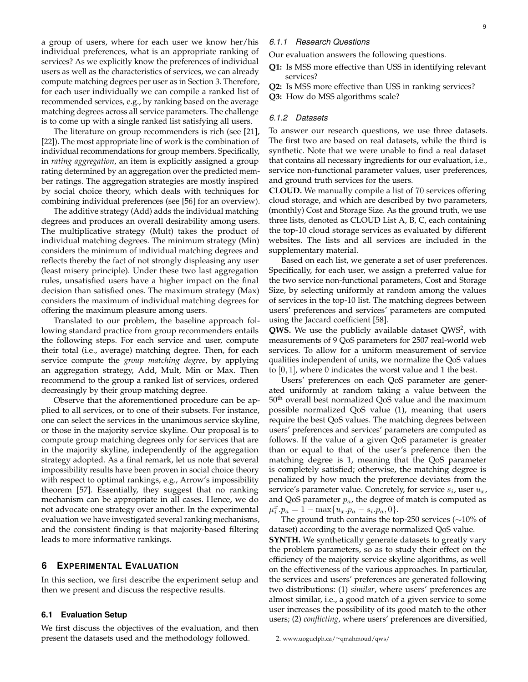a group of users, where for each user we know her/his individual preferences, what is an appropriate ranking of services? As we explicitly know the preferences of individual users as well as the characteristics of services, we can already compute matching degrees per user as in Section [3.](#page-3-0) Therefore, for each user individually we can compile a ranked list of recommended services, e.g., by ranking based on the average matching degrees across all service parameters. The challenge is to come up with a single ranked list satisfying all users.

The literature on group recommenders is rich (see [\[21\]](#page-13-11), [\[22\]](#page-13-12)). The most appropriate line of work is the combination of individual recommendations for group members. Specifically, in *rating aggregation*, an item is explicitly assigned a group rating determined by an aggregation over the predicted member ratings. The aggregation strategies are mostly inspired by social choice theory, which deals with techniques for combining individual preferences (see [\[56\]](#page-13-46) for an overview).

The additive strategy (Add) adds the individual matching degrees and produces an overall desirability among users. The multiplicative strategy (Mult) takes the product of individual matching degrees. The minimum strategy (Min) considers the minimum of individual matching degrees and reflects thereby the fact of not strongly displeasing any user (least misery principle). Under these two last aggregation rules, unsatisfied users have a higher impact on the final decision than satisfied ones. The maximum strategy (Max) considers the maximum of individual matching degrees for offering the maximum pleasure among users.

Translated to our problem, the baseline approach following standard practice from group recommenders entails the following steps. For each service and user, compute their total (i.e., average) matching degree. Then, for each service compute the *group matching degree*, by applying an aggregation strategy, Add, Mult, Min or Max. Then recommend to the group a ranked list of services, ordered decreasingly by their group matching degree.

Observe that the aforementioned procedure can be applied to all services, or to one of their subsets. For instance, one can select the services in the unanimous service skyline, or those in the majority service skyline. Our proposal is to compute group matching degrees only for services that are in the majority skyline, independently of the aggregation strategy adopted. As a final remark, let us note that several impossibility results have been proven in social choice theory with respect to optimal rankings, e.g., Arrow's impossibility theorem [\[57\]](#page-13-47). Essentially, they suggest that no ranking mechanism can be appropriate in all cases. Hence, we do not advocate one strategy over another. In the experimental evaluation we have investigated several ranking mechanisms, and the consistent finding is that majority-based filtering leads to more informative rankings.

#### <span id="page-8-0"></span>**6 EXPERIMENTAL EVALUATION**

In this section, we first describe the experiment setup and then we present and discuss the respective results.

#### **6.1 Evaluation Setup**

We first discuss the objectives of the evaluation, and then present the datasets used and the methodology followed.

#### *6.1.1 Research Questions*

Our evaluation answers the following questions.

**Q1:** Is MSS more effective than USS in identifying relevant services?

**Q2:** Is MSS more effective than USS in ranking services?

**Q3:** How do MSS algorithms scale?

#### *6.1.2 Datasets*

To answer our research questions, we use three datasets. The first two are based on real datasets, while the third is synthetic. Note that we were unable to find a real dataset that contains all necessary ingredients for our evaluation, i.e., service non-functional parameter values, user preferences, and ground truth services for the users.

**CLOUD.** We manually compile a list of 70 services offering cloud storage, and which are described by two parameters, (monthly) Cost and Storage Size. As the ground truth, we use three lists, denoted as CLOUD List A, B, C, each containing the top-10 cloud storage services as evaluated by different websites. The lists and all services are included in the supplementary material.

Based on each list, we generate a set of user preferences. Specifically, for each user, we assign a preferred value for the two service non-functional parameters, Cost and Storage Size, by selecting uniformly at random among the values of services in the top-10 list. The matching degrees between users' preferences and services' parameters are computed using the Jaccard coefficient [\[58\]](#page-13-48).

 $QWS$ . We use the publicly available dataset  $QWS^2$  $QWS^2$ , with measurements of 9 QoS parameters for 2507 real-world web services. To allow for a uniform measurement of service qualities independent of units, we normalize the QoS values to  $[0, 1]$ , where 0 indicates the worst value and 1 the best.

Users' preferences on each QoS parameter are generated uniformly at random taking a value between the  $50<sup>th</sup>$  overall best normalized QoS value and the maximum possible normalized QoS value (1), meaning that users require the best QoS values. The matching degrees between users' preferences and services' parameters are computed as follows. If the value of a given QoS parameter is greater than or equal to that of the user's preference then the matching degree is 1, meaning that the QoS parameter is completely satisfied; otherwise, the matching degree is penalized by how much the preference deviates from the service's parameter value. Concretely, for service  $s_i$ , user  $u_x$ , and QoS parameter  $p_a$ , the degree of match is computed as  $\mu_i^x \cdot p_a = 1 - \max\{u_x \cdot p_a - s_i \cdot p_a, 0\}.$ 

The ground truth contains the top-250 services (∼10% of dataset) according to the average normalized QoS value. **SYNTH.** We synthetically generate datasets to greatly vary the problem parameters, so as to study their effect on the efficiency of the majority service skyline algorithms, as well on the effectiveness of the various approaches. In particular, the services and users' preferences are generated following two distributions: (1) *similar*, where users' preferences are almost similar, i.e., a good match of a given service to some user increases the possibility of its good match to the other users; (2) *conflicting*, where users' preferences are diversified,

<span id="page-8-1"></span><sup>2.</sup> [www.uoguelph.ca/](www.uoguelph.ca/~qmahmoud/qws/)∼qmahmoud/qws/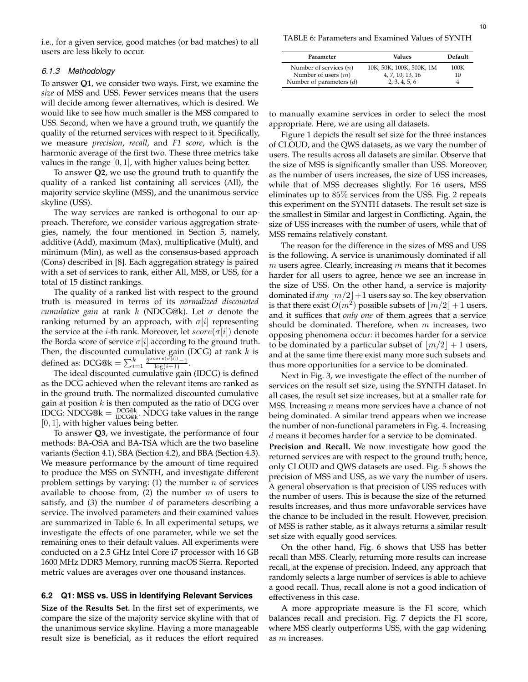i.e., for a given service, good matches (or bad matches) to all users are less likely to occur.

#### *6.1.3 Methodology*

To answer **Q1**, we consider two ways. First, we examine the *size* of MSS and USS. Fewer services means that the users will decide among fewer alternatives, which is desired. We would like to see how much smaller is the MSS compared to USS. Second, when we have a ground truth, we quantify the quality of the returned services with respect to it. Specifically, we measure *precision*, *recall*, and *F1 score*, which is the harmonic average of the first two. These three metrics take values in the range  $[0, 1]$ , with higher values being better.

To answer **Q2**, we use the ground truth to quantify the quality of a ranked list containing all services (All), the majority service skyline (MSS), and the unanimous service skyline (USS).

The way services are ranked is orthogonal to our approach. Therefore, we consider various aggregation strategies, namely, the four mentioned in Section [5,](#page-7-0) namely, additive (Add), maximum (Max), multiplicative (Mult), and minimum (Min), as well as the consensus-based approach (Cons) described in [\[8\]](#page-12-7). Each aggregation strategy is paired with a set of services to rank, either All, MSS, or USS, for a total of 15 distinct rankings.

The quality of a ranked list with respect to the ground truth is measured in terms of its *normalized discounted cumulative gain* at rank  $k$  (NDCG@k). Let  $\sigma$  denote the ranking returned by an approach, with  $\sigma[i]$  representing the service at the *i*-th rank. Moreover, let  $score(\sigma[i])$  denote the Borda score of service  $\sigma[i]$  according to the ground truth. Then, the discounted cumulative gain (DCG) at rank  $k$  is defined as: DCG@k =  $\sum_{i=1}^{k} \frac{2^{score(\sigma[i])}-1}{log(i+1)}$ .

The ideal discounted cumulative gain (IDCG) is defined as the DCG achieved when the relevant items are ranked as in the ground truth. The normalized discounted cumulative gain at position  $k$  is then computed as the ratio of DCG over IDCG: NDCG@k =  $\frac{DCG@k}{IDCG@k}$ . NDCG take values in the range [0, 1], with higher values being better.

To answer **Q3**, we investigate, the performance of four methods: BA-OSA and BA-TSA which are the two baseline variants (Section [4.1\)](#page-5-3), SBA (Section [4.2\)](#page-5-4), and BBA (Section [4.3\)](#page-6-3). We measure performance by the amount of time required to produce the MSS on SYNTH, and investigate different problem settings by varying: (1) the number  $n$  of services available to choose from, (2) the number  $m$  of users to satisfy, and (3) the number  $d$  of parameters describing a service. The involved parameters and their examined values are summarized in Table [6.](#page-9-0) In all experimental setups, we investigate the effects of one parameter, while we set the remaining ones to their default values. All experiments were conducted on a 2.5 GHz Intel Core i7 processor with 16 GB 1600 MHz DDR3 Memory, running macOS Sierra. Reported metric values are averages over one thousand instances.

#### **6.2 Q1: MSS vs. USS in Identifying Relevant Services**

**Size of the Results Set.** In the first set of experiments, we compare the size of the majority service skyline with that of the unanimous service skyline. Having a more manageable result size is beneficial, as it reduces the effort required

<span id="page-9-0"></span>

| Parameter                                                                       | Values                                                        | Default    |
|---------------------------------------------------------------------------------|---------------------------------------------------------------|------------|
| Number of services $(n)$<br>Number of users $(m)$<br>Number of parameters $(d)$ | 10K, 50K, 100K, 500K, 1M<br>4, 7, 10, 13, 16<br>2, 3, 4, 5, 6 | 100K<br>10 |

to manually examine services in order to select the most appropriate. Here, we are using all datasets.

Figure [1](#page-10-0) depicts the result set size for the three instances of CLOUD, and the QWS datasets, as we vary the number of users. The results across all datasets are similar. Observe that the size of MSS is significantly smaller than USS. Moreover, as the number of users increases, the size of USS increases, while that of MSS decreases slightly. For 16 users, MSS eliminates up to 85% services from the USS. Fig. [2](#page-10-1) repeats this experiment on the SYNTH datasets. The result set size is the smallest in Similar and largest in Conflicting. Again, the size of USS increases with the number of users, while that of MSS remains relatively constant.

The reason for the difference in the sizes of MSS and USS is the following. A service is unanimously dominated if all  $m$  users agree. Clearly, increasing  $m$  means that it becomes harder for all users to agree, hence we see an increase in the size of USS. On the other hand, a service is majority dominated if  $\frac{am}{\ln 2}$  +1 users say so. The key observation is that there exist  $\widetilde{O}(m^2)$  possible subsets of  $\lfloor m/2 \rfloor + 1$  users, and it suffices that *only one* of them agrees that a service should be dominated. Therefore, when  $m$  increases, two opposing phenomena occur: it becomes harder for a service to be dominated by a particular subset of  $\lfloor m/2 \rfloor + 1$  users, and at the same time there exist many more such subsets and thus more opportunities for a service to be dominated.

Next in Fig. [3,](#page-10-2) we investigate the effect of the number of services on the result set size, using the SYNTH dataset. In all cases, the result set size increases, but at a smaller rate for MSS. Increasing  $n$  means more services have a chance of not being dominated. A similar trend appears when we increase the number of non-functional parameters in Fig. [4.](#page-10-3) Increasing d means it becomes harder for a service to be dominated.

**Precision and Recall.** We now investigate how good the returned services are with respect to the ground truth; hence, only CLOUD and QWS datasets are used. Fig. [5](#page-11-1) shows the precision of MSS and USS, as we vary the number of users. A general observation is that precision of USS reduces with the number of users. This is because the size of the returned results increases, and thus more unfavorable services have the chance to be included in the result. However, precision of MSS is rather stable, as it always returns a similar result set size with equally good services.

On the other hand, Fig. [6](#page-11-2) shows that USS has better recall than MSS. Clearly, returning more results can increase recall, at the expense of precision. Indeed, any approach that randomly selects a large number of services is able to achieve a good recall. Thus, recall alone is not a good indication of effectiveness in this case.

A more appropriate measure is the F1 score, which balances recall and precision. Fig. [7](#page-11-3) depicts the F1 score, where MSS clearly outperforms USS, with the gap widening as m increases.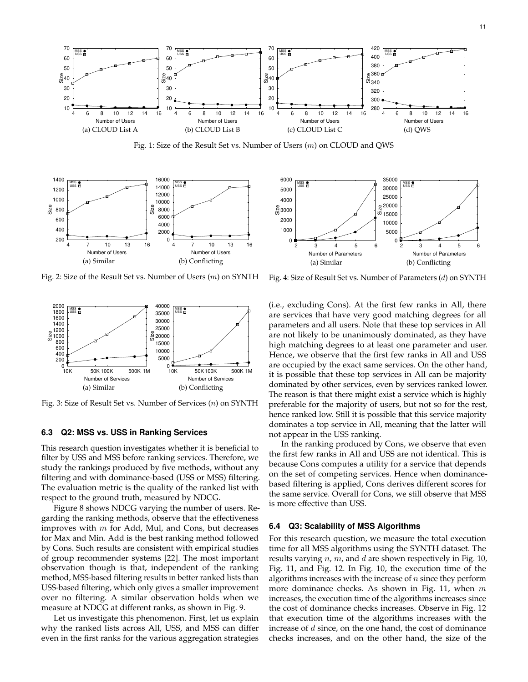<span id="page-10-0"></span>

Fig. 1: Size of the Result Set vs. Number of Users  $(m)$  on CLOUD and OWS

<span id="page-10-1"></span>

Fig. 2: Size of the Result Set vs. Number of Users (m) on SYNTH

<span id="page-10-2"></span>

Fig. 3: Size of Result Set vs. Number of Services (n) on SYNTH

#### **6.3 Q2: MSS vs. USS in Ranking Services**

This research question investigates whether it is beneficial to filter by USS and MSS before ranking services. Therefore, we study the rankings produced by five methods, without any filtering and with dominance-based (USS or MSS) filtering. The evaluation metric is the quality of the ranked list with respect to the ground truth, measured by NDCG.

Figure [8](#page-12-9) shows NDCG varying the number of users. Regarding the ranking methods, observe that the effectiveness improves with  $m$  for Add, Mul, and Cons, but decreases for Max and Min. Add is the best ranking method followed by Cons. Such results are consistent with empirical studies of group recommender systems [\[22\]](#page-13-12). The most important observation though is that, independent of the ranking method, MSS-based filtering results in better ranked lists than USS-based filtering, which only gives a smaller improvement over no filtering. A similar observation holds when we measure at NDCG at different ranks, as shown in Fig. [9.](#page-12-10) 260 **EVERT FOR THE CONSULTER CONSULTER**<br> **EVERT FOR A STRAIGHT TO THE CONSULTER**<br> **EVERT FOR A STRAIGHT TO THE CONSULTER**<br> **EVERT FOR A STRAIGHT TO THE CONSULTER**<br> **EVERT FOR A STRAIGHT TO THE CONSULTER**<br> **EVERT FOR A ST** 

Let us investigate this phenomenon. First, let us explain why the ranked lists across All, USS, and MSS can differ

<span id="page-10-3"></span>

Fig. 4: Size of Result Set vs. Number of Parameters (d) on SYNTH

(i.e., excluding Cons). At the first few ranks in All, there are services that have very good matching degrees for all parameters and all users. Note that these top services in All are not likely to be unanimously dominated, as they have high matching degrees to at least one parameter and user. Hence, we observe that the first few ranks in All and USS are occupied by the exact same services. On the other hand, it is possible that these top services in All can be majority dominated by other services, even by services ranked lower. The reason is that there might exist a service which is highly preferable for the majority of users, but not so for the rest, hence ranked low. Still it is possible that this service majority dominates a top service in All, meaning that the latter will not appear in the USS ranking.

In the ranking produced by Cons, we observe that even the first few ranks in All and USS are not identical. This is because Cons computes a utility for a service that depends on the set of competing services. Hence when dominancebased filtering is applied, Cons derives different scores for the same service. Overall for Cons, we still observe that MSS is more effective than USS.

#### **6.4 Q3: Scalability of MSS Algorithms**

For this research question, we measure the total execution time for all MSS algorithms using the SYNTH dataset. The results varying  $n$ ,  $m$ , and  $d$  are shown respectively in Fig. [10,](#page-12-11) Fig. [11,](#page-12-12) and Fig. [12.](#page-12-13) In Fig. [10,](#page-12-11) the execution time of the algorithms increases with the increase of  $n$  since they perform more dominance checks. As shown in Fig. [11,](#page-12-12) when  $m$ increases, the execution time of the algorithms increases since the cost of dominance checks increases. Observe in Fig. [12](#page-12-13) that execution time of the algorithms increases with the increase of  $d$  since, on the one hand, the cost of dominance checks increases, and on the other hand, the size of the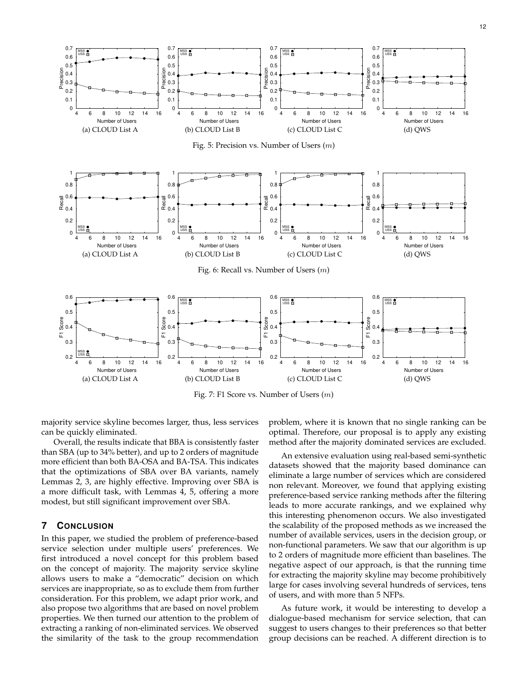<span id="page-11-2"></span><span id="page-11-1"></span>

Fig. 7: F1 Score vs. Number of Users (m)

<span id="page-11-3"></span>majority service skyline becomes larger, thus, less services can be quickly eliminated.

Overall, the results indicate that BBA is consistently faster than SBA (up to 34% better), and up to 2 orders of magnitude more efficient than both BA-OSA and BA-TSA. This indicates that the optimizations of SBA over BA variants, namely Lemmas [2,](#page-5-0) [3,](#page-5-1) are highly effective. Improving over SBA is a more difficult task, with Lemmas [4,](#page-6-1) [5,](#page-6-2) offering a more modest, but still significant improvement over SBA.

# <span id="page-11-0"></span>**7 CONCLUSION**

In this paper, we studied the problem of preference-based service selection under multiple users' preferences. We first introduced a novel concept for this problem based on the concept of majority. The majority service skyline allows users to make a "democratic" decision on which services are inappropriate, so as to exclude them from further consideration. For this problem, we adapt prior work, and also propose two algorithms that are based on novel problem properties. We then turned our attention to the problem of extracting a ranking of non-eliminated services. We observed the similarity of the task to the group recommendation

problem, where it is known that no single ranking can be optimal. Therefore, our proposal is to apply any existing method after the majority dominated services are excluded.

An extensive evaluation using real-based semi-synthetic datasets showed that the majority based dominance can eliminate a large number of services which are considered non relevant. Moreover, we found that applying existing preference-based service ranking methods after the filtering leads to more accurate rankings, and we explained why this interesting phenomenon occurs. We also investigated the scalability of the proposed methods as we increased the number of available services, users in the decision group, or non-functional parameters. We saw that our algorithm is up to 2 orders of magnitude more efficient than baselines. The negative aspect of our approach, is that the running time for extracting the majority skyline may become prohibitively large for cases involving several hundreds of services, tens of users, and with more than 5 NFPs.

As future work, it would be interesting to develop a dialogue-based mechanism for service selection, that can suggest to users changes to their preferences so that better group decisions can be reached. A different direction is to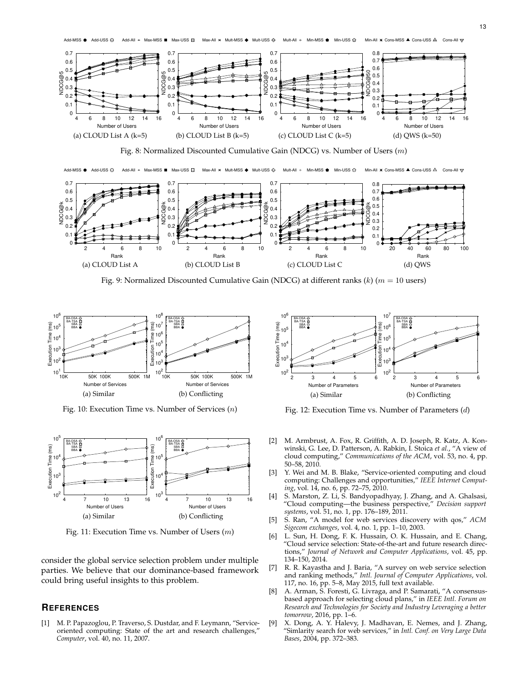<span id="page-12-9"></span>



Fig. 8: Normalized Discounted Cumulative Gain (NDCG) vs. Number of Users (m)



<span id="page-12-10"></span> $\geq$  $\overline{6}$  4 6 8 10 12 14 16  $\mathcal{B}$  0  $0.1$  $0.2$   $\bullet$  $0.3\ \mathrm{k}$  $0.4 \;$  +  $\begin{bmatrix} 0.5 \\ 0.4 \\ 0.3 \\ 2.1 \end{bmatrix}$  0.6 0.7 2 4 6 8 10 Rank (a) CLOUD List A  $\epsilon$  $0.1$  $0.2$  $0.3 +$ ∛მ 0.4<br>ს 0.4<br>2 0.3 0.5 0.6 0.7 2 4 6 8 10 Rank (b) CLOUD List B 0  $\mathbf{0}$ . 0.2  $0.3 +$ ∛ა.¤<br>ს 0.4<br>2 0.3<br>2 . . 0.5 0.6 0.7 2 4 6 8 10 Rank (c) CLOUD List C  $0 \bullet$  $0.1$  0.2 ලි 0.5<br>ෆ් 0.4<br>ට 0.3 0.4 0.5 0.6 0.7 0.8 20 40 60 80 100 Rank (d) QWS



<span id="page-12-11"></span>

<span id="page-12-12"></span>Fig. 10: Execution Time vs. Number of Services (n)



Fig. 11: Execution Time vs. Number of Users (m)

consider the global service selection problem under multiple parties. We believe that our dominance-based framework could bring useful insights to this problem.

# **REFERENCES**

<span id="page-12-0"></span>[1] M. P. Papazoglou, P. Traverso, S. Dustdar, and F. Leymann, "Serviceoriented computing: State of the art and research challenges,' Computer, vol. 40, no. 11, 2007.

<span id="page-12-13"></span>

Fig. 12: Execution Time vs. Number of Parameters (d)

- <span id="page-12-1"></span>[2] M. Armbrust, A. Fox, R. Griffith, A. D. Joseph, R. Katz, A. Konwinski, G. Lee, D. Patterson, A. Rabkin, I. Stoica *et al.*, "A view of cloud computing," *Communications of the ACM*, vol. 53, no. 4, pp. 50–58, 2010.
- <span id="page-12-2"></span>[3] Y. Wei and M. B. Blake, "Service-oriented computing and cloud computing: Challenges and opportunities," *IEEE Internet Computing*, vol. 14, no. 6, pp. 72–75, 2010.
- <span id="page-12-3"></span>[4] S. Marston, Z. Li, S. Bandyopadhyay, J. Zhang, and A. Ghalsasi, "Cloud computing—the business perspective," *Decision support systems*, vol. 51, no. 1, pp. 176–189, 2011.
- <span id="page-12-4"></span>[5] S. Ran, "A model for web services discovery with qos," *ACM Sigecom exchanges*, vol. 4, no. 1, pp. 1–10, 2003.
- <span id="page-12-5"></span>[6] L. Sun, H. Dong, F. K. Hussain, O. K. Hussain, and E. Chang, "Cloud service selection: State-of-the-art and future research directions," *Journal of Network and Computer Applications*, vol. 45, pp. 134–150, 2014.
- <span id="page-12-6"></span>[7] R. R. Kayastha and J. Baria, "A survey on web service selection and ranking methods," *Intl. Journal of Computer Applications*, vol. 117, no. 16, pp. 5–8, May 2015, full text available.
- <span id="page-12-7"></span>[8] A. Arman, S. Foresti, G. Livraga, and P. Samarati, "A consensusbased approach for selecting cloud plans," in *IEEE Intl. Forum on Research and Technologies for Society and Industry Leveraging a better tomorrow*, 2016, pp. 1–6.
- <span id="page-12-8"></span>[9] X. Dong, A. Y. Halevy, J. Madhavan, E. Nemes, and J. Zhang, "Simlarity search for web services," in *Intl. Conf. on Very Large Data Bases*, 2004, pp. 372–383.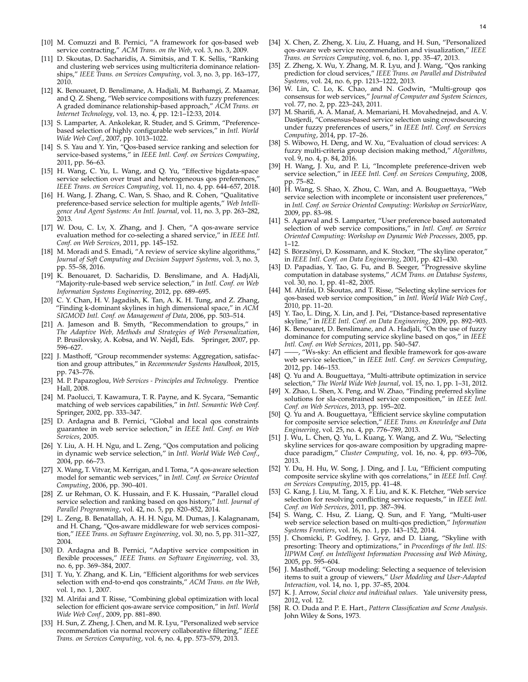- <span id="page-13-0"></span>[10] M. Comuzzi and B. Pernici, "A framework for qos-based web service contracting," *ACM Trans. on the Web*, vol. 3, no. 3, 2009.
- <span id="page-13-1"></span>[11] D. Skoutas, D. Sacharidis, A. Simitsis, and T. K. Sellis, "Ranking and clustering web services using multicriteria dominance relationships," *IEEE Trans. on Services Computing*, vol. 3, no. 3, pp. 163–177, 2010.
- <span id="page-13-2"></span>[12] K. Benouaret, D. Benslimane, A. Hadjali, M. Barhamgi, Z. Maamar, and Q. Z. Sheng, "Web service compositions with fuzzy preferences: A graded dominance relationship-based approach," *ACM Trans. on Internet Technology*, vol. 13, no. 4, pp. 12:1–12:33, 2014.
- <span id="page-13-3"></span>[13] S. Lamparter, A. Ankolekar, R. Studer, and S. Grimm, "Preferencebased selection of highly configurable web services," in *Intl. World Wide Web Conf.*, 2007, pp. 1013–1022.
- <span id="page-13-4"></span>[14] S. S. Yau and Y. Yin, "Qos-based service ranking and selection for service-based systems," in *IEEE Intl. Conf. on Services Computing*, 2011, pp. 56–63.
- <span id="page-13-5"></span>[15] H. Wang, C. Yu, L. Wang, and Q. Yu, "Effective bigdata-space service selection over trust and heterogeneous qos preferences," *IEEE Trans. on Services Computing*, vol. 11, no. 4, pp. 644–657, 2018.
- <span id="page-13-6"></span>[16] H. Wang, J. Zhang, C. Wan, S. Shao, and R. Cohen, "Qualitative preference-based service selection for multiple agents," *Web Intelligence And Agent Systems: An Intl. Journal*, vol. 11, no. 3, pp. 263–282, 2013.
- <span id="page-13-7"></span>[17] W. Dou, C. Lv, X. Zhang, and J. Chen, "A qos-aware service evaluation method for co-selecting a shared service," in *IEEE Intl. Conf. on Web Services*, 2011, pp. 145–152.
- <span id="page-13-8"></span>[18] M. Moradi and S. Emadi, "A review of service skyline algorithms," *Journal of Soft Computing and Decision Support Systems*, vol. 3, no. 3, pp. 55–58, 2016.
- <span id="page-13-9"></span>[19] K. Benouaret, D. Sacharidis, D. Benslimane, and A. HadjAli, "Majority-rule-based web service selection," in *Intl. Conf. on Web Information Systems Engineering*, 2012, pp. 689–695.
- <span id="page-13-10"></span>[20] C. Y. Chan, H. V. Jagadish, K. Tan, A. K. H. Tung, and Z. Zhang, "Finding k-dominant skylines in high dimensional space," in *ACM SIGMOD Intl. Conf. on Management of Data*, 2006, pp. 503–514.
- <span id="page-13-11"></span>[21] A. Jameson and B. Smyth, "Recommendation to groups," in *The Adaptive Web, Methods and Strategies of Web Personalization*, P. Brusilovsky, A. Kobsa, and W. Nejdl, Eds. Springer, 2007, pp. 596–627.
- <span id="page-13-12"></span>[22] J. Masthoff, "Group recommender systems: Aggregation, satisfaction and group attributes," in *Recommender Systems Handbook*, 2015, pp. 743–776.
- <span id="page-13-13"></span>[23] M. P. Papazoglou, *Web Services - Principles and Technology*. Prentice Hall, 2008.
- <span id="page-13-14"></span>[24] M. Paolucci, T. Kawamura, T. R. Payne, and K. Sycara, "Semantic matching of web services capabilities," in *Intl. Semantic Web Conf.* Springer, 2002, pp. 333–347.
- <span id="page-13-15"></span>[25] D. Ardagna and B. Pernici, "Global and local qos constraints guarantee in web service selection," in *IEEE Intl. Conf. on Web Services*, 2005.
- <span id="page-13-16"></span>[26] Y. Liu, A. H. H. Ngu, and L. Zeng, "Qos computation and policing in dynamic web service selection," in *Intl. World Wide Web Conf.*, 2004, pp. 66–73.
- <span id="page-13-17"></span>[27] X. Wang, T. Vitvar, M. Kerrigan, and I. Toma, "A qos-aware selection model for semantic web services," in *Intl. Conf. on Service Oriented Computing*, 2006, pp. 390–401.
- <span id="page-13-18"></span>[28] Z. ur Rehman, O. K. Hussain, and F. K. Hussain, "Parallel cloud service selection and ranking based on qos history," *Intl. Journal of Parallel Programming*, vol. 42, no. 5, pp. 820–852, 2014.
- <span id="page-13-19"></span>[29] L. Zeng, B. Benatallah, A. H. H. Ngu, M. Dumas, J. Kalagnanam, and H. Chang, "Qos-aware middleware for web services composition," *IEEE Trans. on Software Engineering*, vol. 30, no. 5, pp. 311–327, 2004.
- <span id="page-13-20"></span>[30] D. Ardagna and B. Pernici, "Adaptive service composition in flexible processes," *IEEE Trans. on Software Engineering*, vol. 33, no. 6, pp. 369–384, 2007.
- <span id="page-13-21"></span>[31] T. Yu, Y. Zhang, and K. Lin, "Efficient algorithms for web services selection with end-to-end qos constraints," *ACM Trans. on the Web*, vol. 1, no. 1, 2007.
- <span id="page-13-22"></span>[32] M. Alrifai and T. Risse, "Combining global optimization with local selection for efficient qos-aware service composition," in *Intl. World Wide Web Conf.*, 2009, pp. 881–890.
- <span id="page-13-23"></span>[33] H. Sun, Z. Zheng, J. Chen, and M. R. Lyu, "Personalized web service recommendation via normal recovery collaborative filtering," *IEEE Trans. on Services Computing*, vol. 6, no. 4, pp. 573–579, 2013.
- <span id="page-13-24"></span>[34] X. Chen, Z. Zheng, X. Liu, Z. Huang, and H. Sun, "Personalized qos-aware web service recommendation and visualization," *IEEE Trans. on Services Computing*, vol. 6, no. 1, pp. 35–47, 2013.
- <span id="page-13-25"></span>[35] Z. Zheng, X. Wu, Y. Zhang, M. R. Lyu, and J. Wang, "Qos ranking prediction for cloud services," *IEEE Trans. on Parallel and Distributed Systems*, vol. 24, no. 6, pp. 1213–1222, 2013.
- <span id="page-13-26"></span>[36] W. Lin, C. Lo, K. Chao, and N. Godwin, "Multi-group qos consensus for web services," *Journal of Computer and System Sciences*, vol. 77, no. 2, pp. 223–243, 2011.
- <span id="page-13-27"></span>[37] M. Sharifi, A. A. Manaf, A. Memariani, H. Movahednejad, and A. V. Dastjerdi, "Consensus-based service selection using crowdsourcing under fuzzy preferences of users," in *IEEE Intl. Conf. on Services Computing*, 2014, pp. 17–26.
- <span id="page-13-28"></span>[38] S. Wibowo, H. Deng, and W. Xu, "Evaluation of cloud services: A fuzzy multi-criteria group decision making method," *Algorithms*, vol. 9, no. 4, p. 84, 2016.
- <span id="page-13-29"></span>[39] H. Wang, J. Xu, and P. Li, "Incomplete preference-driven web service selection," in *IEEE Intl. Conf. on Services Computing*, 2008, pp. 75–82.
- <span id="page-13-30"></span>[40] H. Wang, S. Shao, X. Zhou, C. Wan, and A. Bouguettaya, "Web service selection with incomplete or inconsistent user preferences," in *Intl. Conf. on Service Oriented Computing: Workshop on ServiceWave*, 2009, pp. 83–98.
- <span id="page-13-31"></span>[41] S. Agarwal and S. Lamparter, "User preference based automated selection of web service compositions," in *Intl. Conf. on Service Oriented Computing: Workshop on Dynamic Web Processes*, 2005, pp. 1–12.
- <span id="page-13-32"></span>[42] S. Börzsönyi, D. Kossmann, and K. Stocker, "The skyline operator," in *IEEE Intl. Conf. on Data Engineering*, 2001, pp. 421–430.
- <span id="page-13-33"></span>[43] D. Papadias, Y. Tao, G. Fu, and B. Seeger, "Progressive skyline computation in database systems," *ACM Trans. on Database Systems*, vol. 30, no. 1, pp. 41–82, 2005.
- <span id="page-13-34"></span>[44] M. Alrifai, D. Skoutas, and T. Risse, "Selecting skyline services for qos-based web service composition," in *Intl. World Wide Web Conf.*, 2010, pp. 11–20.
- <span id="page-13-35"></span>[45] Y. Tao, L. Ding, X. Lin, and J. Pei, "Distance-based representative skyline," in *IEEE Intl. Conf. on Data Engineering*, 2009, pp. 892–903.
- <span id="page-13-36"></span>[46] K. Benouaret, D. Benslimane, and A. Hadjali, "On the use of fuzzy dominance for computing service skyline based on qos," in *IEEE Intl. Conf. on Web Services*, 2011, pp. 540–547.
- <span id="page-13-37"></span>[47] ——, "Ws-sky: An efficient and flexible framework for gos-aware web service selection," in *IEEE Intl. Conf. on Services Computing*, 2012, pp. 146–153.
- <span id="page-13-38"></span>[48] Q. Yu and A. Bouguettaya, "Multi-attribute optimization in service selection," *The World Wide Web Journal*, vol. 15, no. 1, pp. 1–31, 2012.
- <span id="page-13-39"></span>[49] X. Zhao, L. Shen, X. Peng, and W. Zhao, "Finding preferred skyline solutions for sla-constrained service composition," in *IEEE Intl. Conf. on Web Services*, 2013, pp. 195–202.
- <span id="page-13-40"></span>[50] Q. Yu and A. Bouguettaya, "Efficient service skyline computation for composite service selection," *IEEE Trans. on Knowledge and Data Engineering*, vol. 25, no. 4, pp. 776–789, 2013.
- <span id="page-13-41"></span>[51] J. Wu, L. Chen, Q. Yu, L. Kuang, Y. Wang, and Z. Wu, "Selecting skyline services for qos-aware composition by upgrading mapreduce paradigm," *Cluster Computing*, vol. 16, no. 4, pp. 693–706, 2013.
- <span id="page-13-42"></span>[52] Y. Du, H. Hu, W. Song, J. Ding, and J. Lu, "Efficient computing composite service skyline with qos correlations," in *IEEE Intl. Conf. on Services Computing*, 2015, pp. 41–48.
- <span id="page-13-43"></span>[53] G. Kang, J. Liu, M. Tang, X. F. Liu, and K. K. Fletcher, "Web service selection for resolving conflicting service requests," in *IEEE Intl. Conf. on Web Services*, 2011, pp. 387–394.
- <span id="page-13-44"></span>[54] S. Wang, C. Hsu, Z. Liang, Q. Sun, and F. Yang, "Multi-user web service selection based on multi-qos prediction," *Information Systems Frontiers*, vol. 16, no. 1, pp. 143–152, 2014.
- <span id="page-13-45"></span>[55] J. Chomicki, P. Godfrey, J. Gryz, and D. Liang, "Skyline with presorting: Theory and optimizations," in *Proceedings of the Intl. IIS: IIPWM Conf. on Intelligent Information Processing and Web Mining*, 2005, pp. 595–604.
- <span id="page-13-46"></span>[56] J. Masthoff, "Group modeling: Selecting a sequence of television items to suit a group of viewers," *User Modeling and User-Adapted Interaction*, vol. 14, no. 1, pp. 37–85, 2004.
- <span id="page-13-47"></span>[57] K. J. Arrow, *Social choice and individual values*. Yale university press, 2012, vol. 12.
- <span id="page-13-48"></span>[58] R. O. Duda and P. E. Hart., *Pattern Classification and Scene Analysis*. John Wiley & Sons, 1973.